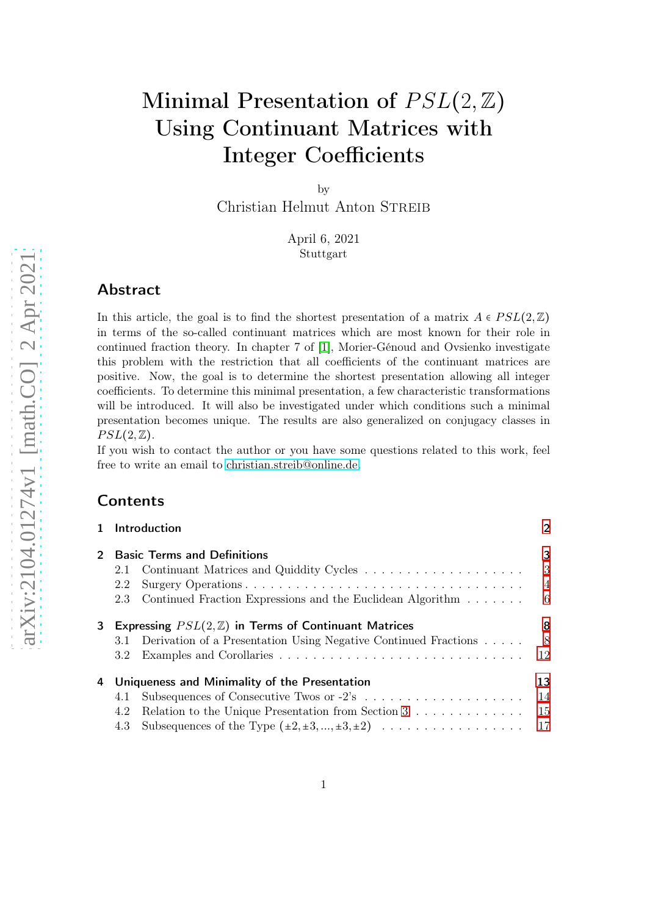# Minimal Presentation of  $PSL(2,\mathbb{Z})$ Using Continuant Matrices with Integer Coefficients

by

Christian Helmut Anton STREIB

April 6, 2021 Stuttgart

# Abstract

In this article, the goal is to find the shortest presentation of a matrix  $A \in PSL(2,\mathbb{Z})$ in terms of the so-called continuant matrices which are most known for their role in continued fraction theory. In chapter 7 of [\[1\]](#page-38-0), Morier-Génoud and Ovsienko investigate this problem with the restriction that all coefficients of the continuant matrices are positive. Now, the goal is to determine the shortest presentation allowing all integer coefficients. To determine this minimal presentation, a few characteristic transformations will be introduced. It will also be investigated under which conditions such a minimal presentation becomes unique. The results are also generalized on conjugacy classes in  $PSL(2,\mathbb{Z}).$ 

If you wish to contact the author or you have some questions related to this work, feel free to write an email to [christian.streib@online.de.](mailto:christian.streib@online.de)

# **Contents**

|         |                                                                 | 1 Introduction                                                  | $\overline{2}$ |
|---------|-----------------------------------------------------------------|-----------------------------------------------------------------|----------------|
| $2^{-}$ |                                                                 | <b>Basic Terms and Definitions</b>                              | 3              |
|         | 2.1                                                             | Continuant Matrices and Quiddity Cycles                         | 3              |
|         | 2.2                                                             |                                                                 | $\overline{4}$ |
|         | 2.3                                                             | Continued Fraction Expressions and the Euclidean Algorithm      | - 6            |
| 3       | Expressing $PSL(2, \mathbb{Z})$ in Terms of Continuant Matrices |                                                                 | 8              |
|         | 3.1                                                             | Derivation of a Presentation Using Negative Continued Fractions | - 8            |
|         | 3.2                                                             |                                                                 | 12             |
| 4       | Uniqueness and Minimality of the Presentation                   |                                                                 | 13             |
|         | 4.1                                                             |                                                                 | 14             |
|         | 4.2                                                             | Relation to the Unique Presentation from Section 3              | -15            |
|         |                                                                 | 4.3 Subsequences of the Type $(\pm 2, \pm 3, , \pm 3, \pm 2)$   | 17             |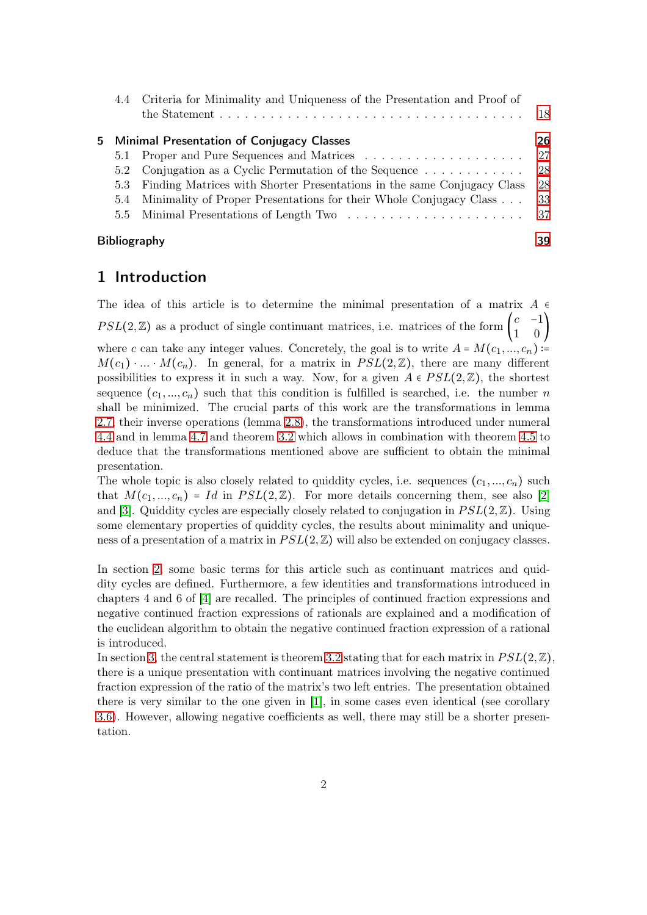|                     | 4.4 Criteria for Minimality and Uniqueness of the Presentation and Proof of | -18 |  |  |
|---------------------|-----------------------------------------------------------------------------|-----|--|--|
|                     | 5 Minimal Presentation of Conjugacy Classes                                 | 26  |  |  |
|                     | 5.1 Proper and Pure Sequences and Matrices                                  | -27 |  |  |
|                     | 5.2 Conjugation as a Cyclic Permutation of the Sequence $\dots \dots \dots$ | 28  |  |  |
| 5.3                 | Finding Matrices with Shorter Presentations in the same Conjugacy Class     | 28  |  |  |
|                     | 5.4 Minimality of Proper Presentations for their Whole Conjugacy Class      | 33  |  |  |
|                     |                                                                             |     |  |  |
| <b>Bibliography</b> |                                                                             |     |  |  |

# <span id="page-1-0"></span>1 Introduction

The idea of this article is to determine the minimal presentation of a matrix  $A \in$  $PSL(2,\mathbb{Z})$  as a product of single continuant matrices, i.e. matrices of the form  $\begin{pmatrix} c & -1 \\ 1 & 0 \end{pmatrix}$  $\begin{pmatrix} 1 & 0 \end{pmatrix}$ where c can take any integer values. Concretely, the goal is to write  $A = M(c_1, ..., c_n)$  :=  $M(c_1) \cdot ... \cdot M(c_n)$ . In general, for a matrix in  $PSL(2,\mathbb{Z})$ , there are many different possibilities to express it in such a way. Now, for a given  $A \in PSL(2,\mathbb{Z})$ , the shortest sequence  $(c_1, ..., c_n)$  such that this condition is fulfilled is searched, i.e. the number n shall be minimized. The crucial parts of this work are the transformations in lemma [2.7,](#page-4-0) their inverse operations (lemma [2.8\)](#page-5-1), the transformations introduced under numeral [4.4](#page-14-1) and in lemma [4.7](#page-16-1) and theorem [3.2](#page-8-0) which allows in combination with theorem [4.5](#page-14-2) to deduce that the transformations mentioned above are sufficient to obtain the minimal presentation.

The whole topic is also closely related to quiddity cycles, i.e. sequences  $(c_1, ..., c_n)$  such that  $M(c_1, ..., c_n) = Id$  in  $PSL(2, \mathbb{Z})$ . For more details concerning them, see also [\[2\]](#page-38-2) and [\[3\]](#page-38-3). Quiddity cycles are especially closely related to conjugation in  $PSL(2,\mathbb{Z})$ . Using some elementary properties of quiddity cycles, the results about minimality and uniqueness of a presentation of a matrix in  $PSL(2, \mathbb{Z})$  will also be extended on conjugacy classes.

In section [2,](#page-2-0) some basic terms for this article such as continuant matrices and quiddity cycles are defined. Furthermore, a few identities and transformations introduced in chapters 4 and 6 of [\[4\]](#page-38-4) are recalled. The principles of continued fraction expressions and negative continued fraction expressions of rationals are explained and a modification of the euclidean algorithm to obtain the negative continued fraction expression of a rational is introduced.

In section [3,](#page-7-0) the central statement is theorem [3.2](#page-8-0) stating that for each matrix in  $PSL(2,\mathbb{Z})$ . there is a unique presentation with continuant matrices involving the negative continued fraction expression of the ratio of the matrix's two left entries. The presentation obtained there is very similar to the one given in [\[1\]](#page-38-0), in some cases even identical (see corollary 3.6). However, allowing negative coefficients as well, there may still be a shorter presentation.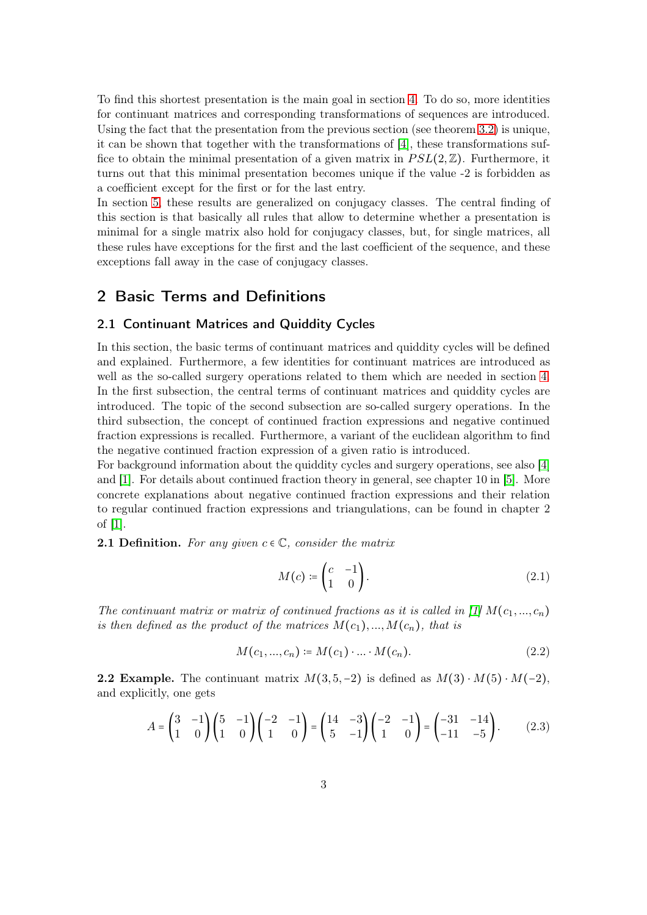To find this shortest presentation is the main goal in section [4.](#page-12-0) To do so, more identities for continuant matrices and corresponding transformations of sequences are introduced. Using the fact that the presentation from the previous section (see theorem [3.2\)](#page-8-0) is unique, it can be shown that together with the transformations of [\[4\]](#page-38-4), these transformations suffice to obtain the minimal presentation of a given matrix in  $PSL(2,\mathbb{Z})$ . Furthermore, it turns out that this minimal presentation becomes unique if the value -2 is forbidden as a coefficient except for the first or for the last entry.

In section [5,](#page-25-0) these results are generalized on conjugacy classes. The central finding of this section is that basically all rules that allow to determine whether a presentation is minimal for a single matrix also hold for conjugacy classes, but, for single matrices, all these rules have exceptions for the first and the last coefficient of the sequence, and these exceptions fall away in the case of conjugacy classes.

# <span id="page-2-1"></span><span id="page-2-0"></span>2 Basic Terms and Definitions

## 2.1 Continuant Matrices and Quiddity Cycles

In this section, the basic terms of continuant matrices and quiddity cycles will be defined and explained. Furthermore, a few identities for continuant matrices are introduced as well as the so-called surgery operations related to them which are needed in section [4.](#page-12-0) In the first subsection, the central terms of continuant matrices and quiddity cycles are introduced. The topic of the second subsection are so-called surgery operations. In the third subsection, the concept of continued fraction expressions and negative continued fraction expressions is recalled. Furthermore, a variant of the euclidean algorithm to find the negative continued fraction expression of a given ratio is introduced.

For background information about the quiddity cycles and surgery operations, see also [\[4\]](#page-38-4) and [\[1\]](#page-38-0). For details about continued fraction theory in general, see chapter 10 in [\[5\]](#page-38-5). More concrete explanations about negative continued fraction expressions and their relation to regular continued fraction expressions and triangulations, can be found in chapter 2 of [\[1\]](#page-38-0).

**2.1 Definition.** For any given  $c \in \mathbb{C}$ , consider the matrix

<span id="page-2-2"></span>
$$
M(c) \coloneqq \begin{pmatrix} c & -1 \\ 1 & 0 \end{pmatrix} . \tag{2.1}
$$

The continuant matrix or matrix of continued fractions as it is called in [\[1\]](#page-38-0)  $M(c_1, ..., c_n)$ is then defined as the product of the matrices  $M(c_1),...,M(c_n)$ , that is

$$
M(c_1, ..., c_n) \coloneqq M(c_1) \cdot ... \cdot M(c_n). \tag{2.2}
$$

**2.2 Example.** The continuant matrix  $M(3, 5, -2)$  is defined as  $M(3) \cdot M(5) \cdot M(-2)$ , and explicitly, one gets

$$
A = \begin{pmatrix} 3 & -1 \\ 1 & 0 \end{pmatrix} \begin{pmatrix} 5 & -1 \\ 1 & 0 \end{pmatrix} \begin{pmatrix} -2 & -1 \\ 1 & 0 \end{pmatrix} = \begin{pmatrix} 14 & -3 \\ 5 & -1 \end{pmatrix} \begin{pmatrix} -2 & -1 \\ 1 & 0 \end{pmatrix} = \begin{pmatrix} -31 & -14 \\ -11 & -5 \end{pmatrix}.
$$
 (2.3)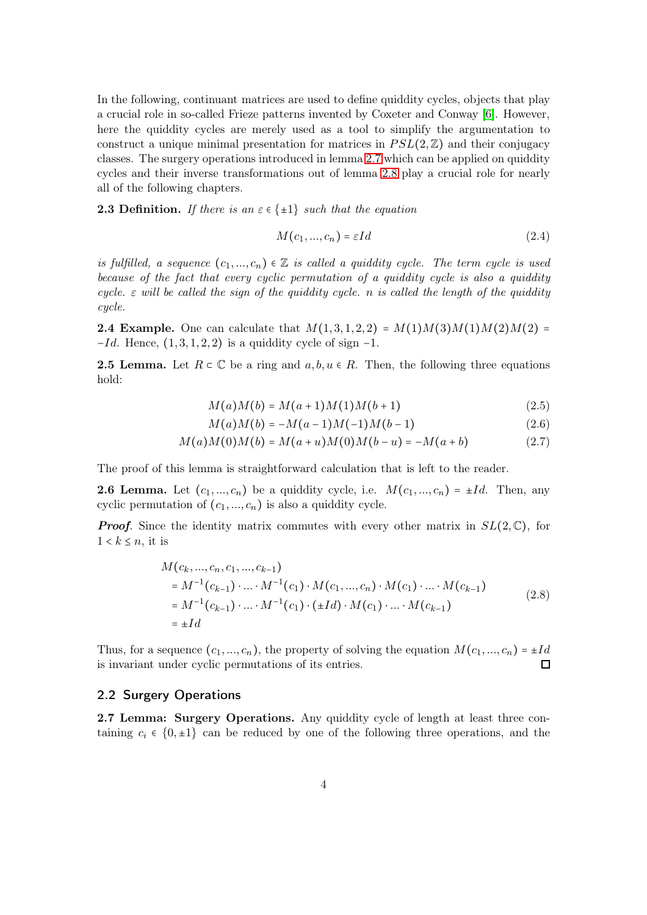In the following, continuant matrices are used to define quiddity cycles, objects that play a crucial role in so-called Frieze patterns invented by Coxeter and Conway [\[6\]](#page-38-6). However, here the quiddity cycles are merely used as a tool to simplify the argumentation to construct a unique minimal presentation for matrices in  $PSL(2,\mathbb{Z})$  and their conjugacy classes. The surgery operations introduced in lemma [2.7](#page-4-0) which can be applied on quiddity cycles and their inverse transformations out of lemma [2.8](#page-5-1) play a crucial role for nearly all of the following chapters.

**2.3 Definition.** If there is an  $\varepsilon \in \{\pm 1\}$  such that the equation

<span id="page-3-3"></span><span id="page-3-2"></span>
$$
M(c_1, ..., c_n) = \varepsilon Id \tag{2.4}
$$

is fulfilled, a sequence  $(c_1,..., c_n) \in \mathbb{Z}$  is called a quiddity cycle. The term cycle is used because of the fact that every cyclic permutation of a quiddity cycle is also a quiddity cycle.  $\varepsilon$  will be called the sign of the quiddity cycle. n is called the length of the quiddity cycle.

**2.4 Example.** One can calculate that  $M(1, 3, 1, 2, 2) = M(1)M(3)M(1)M(2)M(2) =$  $-Id$ . Hence,  $(1, 3, 1, 2, 2)$  is a quiddity cycle of sign  $-1$ .

**2.5 Lemma.** Let  $R \subset \mathbb{C}$  be a ring and  $a, b, u \in R$ . Then, the following three equations hold:

$$
M(a)M(b) = M(a+1)M(1)M(b+1)
$$
\n(2.5)

<span id="page-3-1"></span>
$$
M(a)M(b) = -M(a-1)M(-1)M(b-1)
$$
\n(2.6)

$$
M(a)M(0)M(b) = M(a+u)M(0)M(b-u) = -M(a+b)
$$
\n(2.7)

The proof of this lemma is straightforward calculation that is left to the reader.

**2.6 Lemma.** Let  $(c_1, ..., c_n)$  be a quiddity cycle, i.e.  $M(c_1, ..., c_n) = \pm Id$ . Then, any cyclic permutation of  $(c_1, ..., c_n)$  is also a quiddity cycle.

**Proof.** Since the identity matrix commutes with every other matrix in  $SL(2,\mathbb{C})$ , for  $1 < k \leq n$ , it is

$$
M(c_k, ..., c_n, c_1, ..., c_{k-1})
$$
  
=  $M^{-1}(c_{k-1}) \cdot ... \cdot M^{-1}(c_1) \cdot M(c_1, ..., c_n) \cdot M(c_1) \cdot ... \cdot M(c_{k-1})$   
=  $M^{-1}(c_{k-1}) \cdot ... \cdot M^{-1}(c_1) \cdot (\pm Id) \cdot M(c_1) \cdot ... \cdot M(c_{k-1})$   
=  $\pm Id$  (2.8)

Thus, for a sequence  $(c_1, ..., c_n)$ , the property of solving the equation  $M(c_1, ..., c_n) = \pm Id$ is invariant under cyclic permutations of its entries.  $\Box$ 

#### <span id="page-3-0"></span>2.2 Surgery Operations

2.7 Lemma: Surgery Operations. Any quiddity cycle of length at least three containing  $c_i \in \{0, \pm 1\}$  can be reduced by one of the following three operations, and the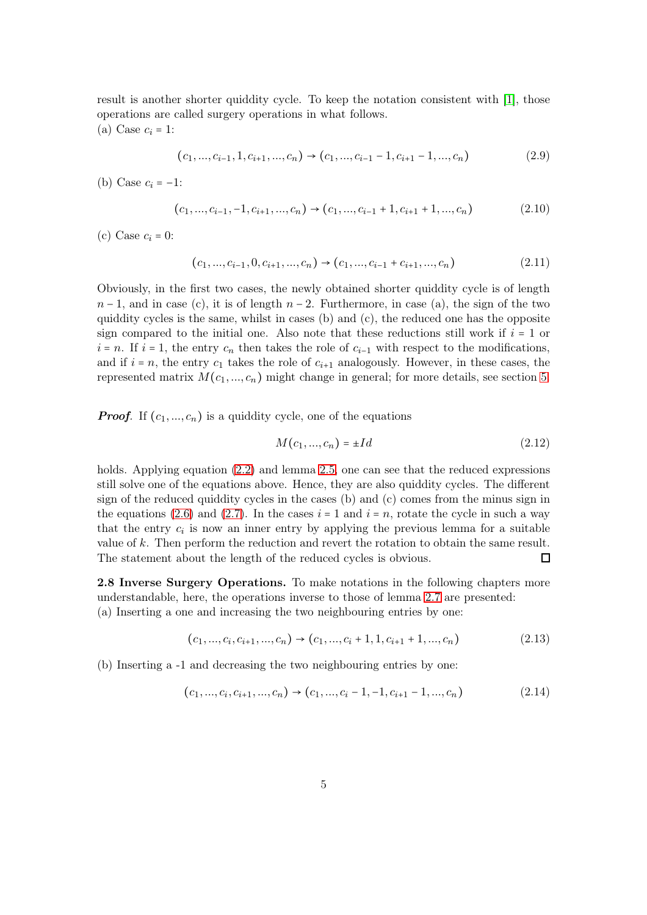result is another shorter quiddity cycle. To keep the notation consistent with [\[1\]](#page-38-0), those operations are called surgery operations in what follows. (a) Case  $c_i = 1$ :

<span id="page-4-2"></span>
$$
(c_1, ..., c_{i-1}, 1, c_{i+1}, ..., c_n) \rightarrow (c_1, ..., c_{i-1} - 1, c_{i+1} - 1, ..., c_n)
$$
\n
$$
(2.9)
$$

(b) Case  $c_i = -1$ :

$$
(c_1, ..., c_{i-1}, -1, c_{i+1}, ..., c_n) \rightarrow (c_1, ..., c_{i-1} + 1, c_{i+1} + 1, ..., c_n)
$$
\n(2.10)

(c) Case  $c_i = 0$ :

<span id="page-4-1"></span>
$$
(c_1, ..., c_{i-1}, 0, c_{i+1}, ..., c_n) \rightarrow (c_1, ..., c_{i-1} + c_{i+1}, ..., c_n)
$$
\n
$$
(2.11)
$$

Obviously, in the first two cases, the newly obtained shorter quiddity cycle is of length  $n-1$ , and in case (c), it is of length  $n-2$ . Furthermore, in case (a), the sign of the two quiddity cycles is the same, whilst in cases  $(b)$  and  $(c)$ , the reduced one has the opposite sign compared to the initial one. Also note that these reductions still work if  $i = 1$  or  $i = n$ . If  $i = 1$ , the entry  $c_n$  then takes the role of  $c_{i-1}$  with respect to the modifications, and if  $i = n$ , the entry  $c_1$  takes the role of  $c_{i+1}$  analogously. However, in these cases, the represented matrix  $M(c_1, ..., c_n)$  might change in general; for more details, see section [5.](#page-25-0)

**Proof.** If  $(c_1, ..., c_n)$  is a quiddity cycle, one of the equations

<span id="page-4-0"></span>
$$
M(c_1, ..., c_n) = \pm Id
$$
 (2.12)

holds. Applying equation  $(2.2)$  and lemma [2.5,](#page-3-1) one can see that the reduced expressions still solve one of the equations above. Hence, they are also quiddity cycles. The different sign of the reduced quiddity cycles in the cases (b) and (c) comes from the minus sign in the equations [\(2.6\)](#page-3-2) and [\(2.7\)](#page-3-1). In the cases  $i = 1$  and  $i = n$ , rotate the cycle in such a way that the entry  $c_i$  is now an inner entry by applying the previous lemma for a suitable value of k. Then perform the reduction and revert the rotation to obtain the same result. The statement about the length of the reduced cycles is obvious.  $\Box$ 

2.8 Inverse Surgery Operations. To make notations in the following chapters more understandable, here, the operations inverse to those of lemma [2.7](#page-4-0) are presented: (a) Inserting a one and increasing the two neighbouring entries by one:

$$
(c_1, ..., c_i, c_{i+1}, ..., c_n) \rightarrow (c_1, ..., c_i + 1, 1, c_{i+1} + 1, ..., c_n)
$$
\n
$$
(2.13)
$$

(b) Inserting a -1 and decreasing the two neighbouring entries by one:

$$
(c_1, ..., c_i, c_{i+1}, ..., c_n) \rightarrow (c_1, ..., c_i - 1, -1, c_{i+1} - 1, ..., c_n)
$$
\n
$$
(2.14)
$$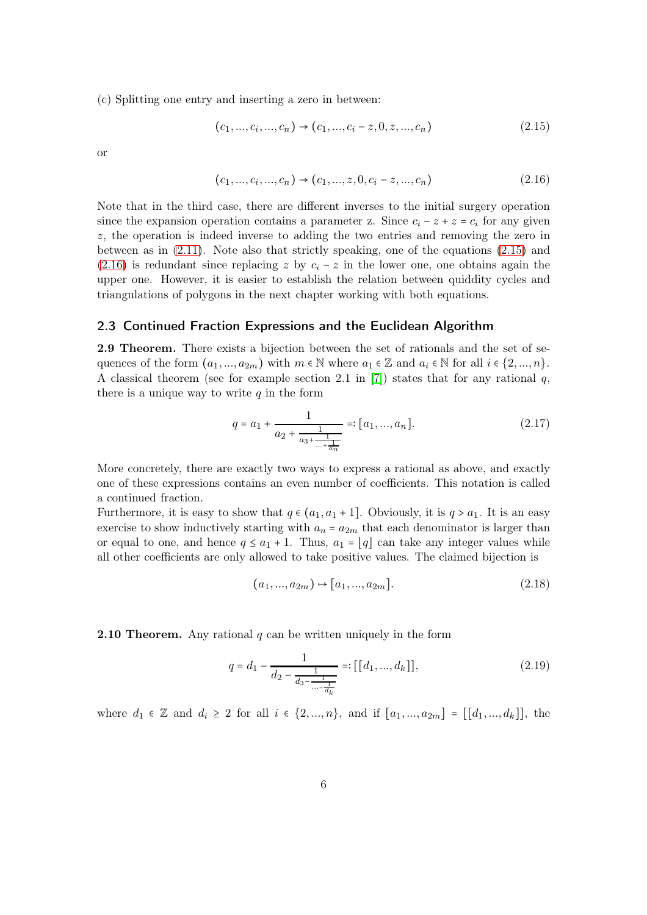(c) Splitting one entry and inserting a zero in between:

<span id="page-5-2"></span>
$$
(c_1, ..., c_i, ..., c_n) \rightarrow (c_1, ..., c_i - z, 0, z, ..., c_n)
$$
\n
$$
(2.15)
$$

or

<span id="page-5-1"></span>
$$
(c_1, ..., c_i, ..., c_n) \rightarrow (c_1, ..., z, 0, c_i - z, ..., c_n)
$$
\n
$$
(2.16)
$$

Note that in the third case, there are different inverses to the initial surgery operation since the expansion operation contains a parameter z. Since  $c_i - z + z = c_i$  for any given z, the operation is indeed inverse to adding the two entries and removing the zero in between as in [\(2.11\)](#page-4-0). Note also that strictly speaking, one of the equations [\(2.15\)](#page-5-2) and [\(2.16\)](#page-5-1) is redundant since replacing z by  $c_i - z$  in the lower one, one obtains again the upper one. However, it is easier to establish the relation between quiddity cycles and triangulations of polygons in the next chapter working with both equations.

#### <span id="page-5-0"></span>2.3 Continued Fraction Expressions and the Euclidean Algorithm

2.9 Theorem. There exists a bijection between the set of rationals and the set of sequences of the form  $(a_1, ..., a_{2m})$  with  $m \in \mathbb{N}$  where  $a_1 \in \mathbb{Z}$  and  $a_i \in \mathbb{N}$  for all  $i \in \{2, ..., n\}$ . A classical theorem (see for example section 2.1 in [\[7\]](#page-38-7)) states that for any rational  $q$ , there is a unique way to write  $q$  in the form

$$
q = a_1 + \frac{1}{a_2 + \frac{1}{a_3 + \frac{1}{\dots + \frac{1}{a_n}}}} =: [a_1, ..., a_n].
$$
 (2.17)

More concretely, there are exactly two ways to express a rational as above, and exactly one of these expressions contains an even number of coefficients. This notation is called a continued fraction.

Furthermore, it is easy to show that  $q \in (a_1, a_1 + 1]$ . Obviously, it is  $q > a_1$ . It is an easy exercise to show inductively starting with  $a_n = a_{2m}$  that each denominator is larger than or equal to one, and hence  $q \le a_1 + 1$ . Thus,  $a_1 = |q|$  can take any integer values while all other coefficients are only allowed to take positive values. The claimed bijection is

$$
(a_1, ..., a_{2m}) \mapsto [a_1, ..., a_{2m}].
$$
\n(2.18)

**2.10 Theorem.** Any rational  $q$  can be written uniquely in the form

$$
q = d_1 - \frac{1}{d_2 - \frac{1}{d_3 - \frac{1}{\dots - \frac{1}{d_k}}}} =: [[d_1, ..., d_k]],
$$
\n(2.19)

where  $d_1 \in \mathbb{Z}$  and  $d_i \geq 2$  for all  $i \in \{2, ..., n\}$ , and if  $[a_1, ..., a_{2m}] = [[d_1, ..., d_k]],$  the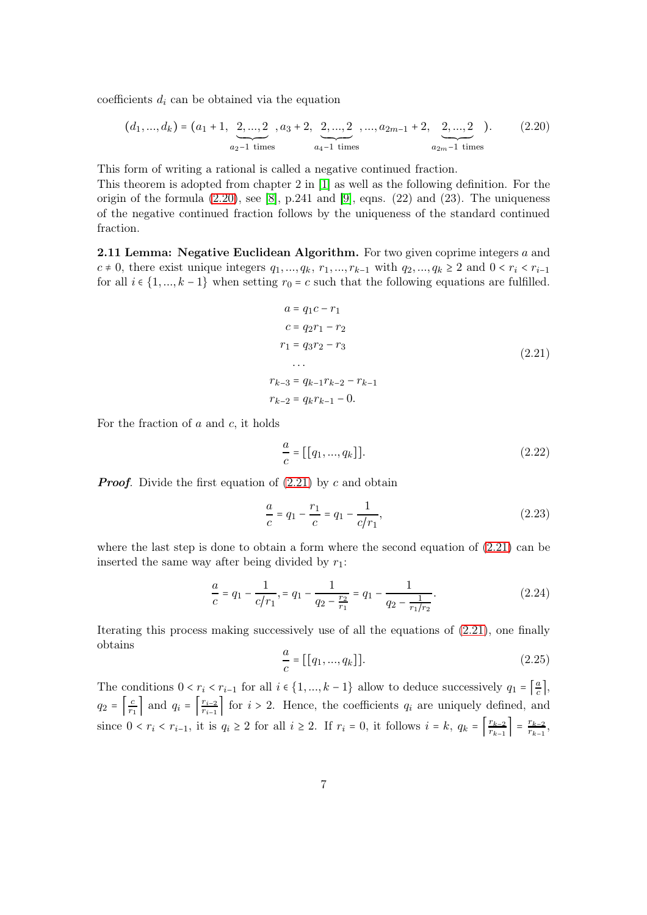coefficients  $d_i$  can be obtained via the equation

<span id="page-6-0"></span>
$$
(d_1, ..., d_k) = (a_1 + 1, \underbrace{2, ..., 2}_{a_2 - 1 \text{ times}}, a_3 + 2, \underbrace{2, ..., 2}_{a_4 - 1 \text{ times}}, ..., a_{2m-1} + 2, \underbrace{2, ..., 2}_{a_{2m} - 1 \text{ times}}).
$$
(2.20)

This form of writing a rational is called a negative continued fraction.

This theorem is adopted from chapter 2 in [\[1\]](#page-38-0) as well as the following definition. For the origin of the formula  $(2.20)$ , see [\[8\]](#page-39-0), p.241 and [\[9\]](#page-39-1), eqns.  $(22)$  and  $(23)$ . The uniqueness of the negative continued fraction follows by the uniqueness of the standard continued fraction.

2.11 Lemma: Negative Euclidean Algorithm. For two given coprime integers a and  $c \neq 0$ , there exist unique integers  $q_1, ..., q_k, r_1, ..., r_{k-1}$  with  $q_2, ..., q_k \geq 2$  and  $0 < r_i < r_{i-1}$ for all  $i \in \{1, ..., k-1\}$  when setting  $r_0 = c$  such that the following equations are fulfilled.

<span id="page-6-1"></span>
$$
a = q_1c - r_1
$$
  
\n
$$
c = q_2r_1 - r_2
$$
  
\n
$$
r_1 = q_3r_2 - r_3
$$
  
\n...  
\n
$$
r_{k-3} = q_{k-1}r_{k-2} - r_{k-1}
$$
  
\n
$$
r_{k-2} = q_kr_{k-1} - 0.
$$
  
\n(2.21)

For the fraction of  $a$  and  $c$ , it holds

$$
\frac{a}{c} = [[q_1, ..., q_k]]. \tag{2.22}
$$

**Proof.** Divide the first equation of  $(2.21)$  by c and obtain

$$
\frac{a}{c} = q_1 - \frac{r_1}{c} = q_1 - \frac{1}{c/r_1},\tag{2.23}
$$

where the last step is done to obtain a form where the second equation of  $(2.21)$  can be inserted the same way after being divided by  $r_1$ :

$$
\frac{a}{c} = q_1 - \frac{1}{c/r_1}, \quad\nq q_1 - \frac{1}{q_2 - \frac{r_2}{r_1}} = q_1 - \frac{1}{q_2 - \frac{1}{r_1/r_2}}.\n\tag{2.24}
$$

Iterating this process making successively use of all the equations of [\(2.21\)](#page-6-1), one finally obtains

$$
\frac{a}{c} = [[q_1, ..., q_k]]. \tag{2.25}
$$

The conditions  $0 < r_i < r_{i-1}$  for all  $i \in \{1, ..., k-1\}$  allow to deduce successively  $q_1 = \left[\frac{a}{c}\right]$  $\frac{a}{c}$ ,  $q_2 = \left\lfloor \frac{c}{r_1} \right\rfloor$  $\left\lfloor \frac{c}{r_1} \right\rfloor$  and  $q_i = \left\lfloor \frac{r_{i-2}}{r_{i-1}} \right\rfloor$  $\frac{r_{i-2}}{r_{i-1}}$  for  $i > 2$ . Hence, the coefficients  $q_i$  are uniquely defined, and since  $0 < r_i < r_{i-1}$ , it is  $q_i \ge 2$  for all  $i \ge 2$ . If  $r_i = 0$ , it follows  $i = k$ ,  $q_k = \left\lceil \frac{r_{k-2}}{r_{k-1}} \right\rceil$  $\left[\frac{r_{k-2}}{r_{k-1}}\right] = \frac{r_{k-2}}{r_{k-1}}$  $\frac{r_{k-2}}{r_{k-1}},$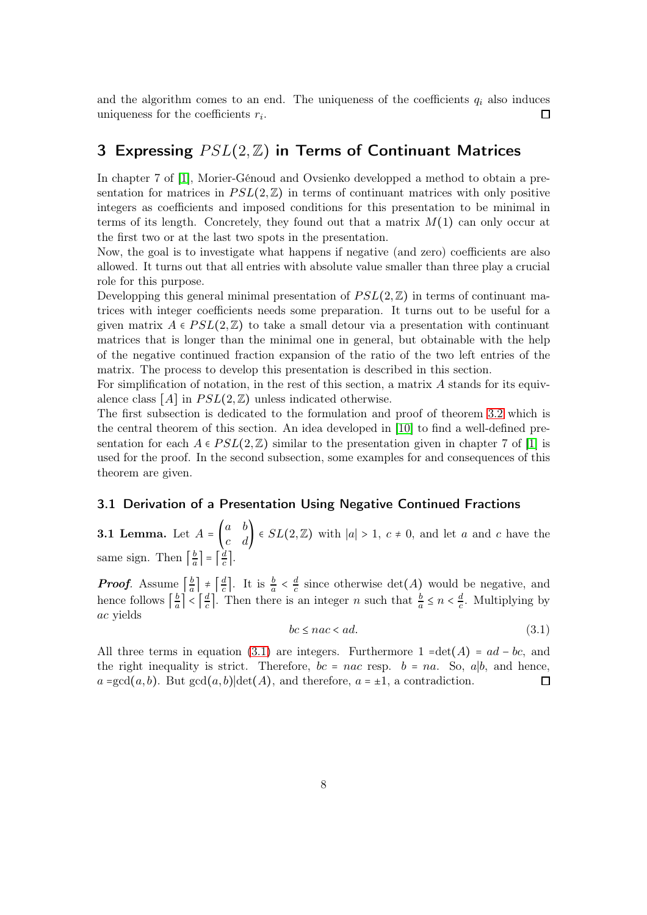and the algorithm comes to an end. The uniqueness of the coefficients  $q_i$  also induces uniqueness for the coefficients  $r_i$ .  $\Box$ 

# <span id="page-7-0"></span>3 Expressing  $PSL(2, \mathbb{Z})$  in Terms of Continuant Matrices

In chapter 7 of [\[1\]](#page-38-0), Morier-Génoud and Ovsienko developped a method to obtain a presentation for matrices in  $PSL(2,\mathbb{Z})$  in terms of continuant matrices with only positive integers as coefficients and imposed conditions for this presentation to be minimal in terms of its length. Concretely, they found out that a matrix  $M(1)$  can only occur at the first two or at the last two spots in the presentation.

Now, the goal is to investigate what happens if negative (and zero) coefficients are also allowed. It turns out that all entries with absolute value smaller than three play a crucial role for this purpose.

Developping this general minimal presentation of  $PSL(2,\mathbb{Z})$  in terms of continuant matrices with integer coefficients needs some preparation. It turns out to be useful for a given matrix  $A \in PSL(2,\mathbb{Z})$  to take a small detour via a presentation with continuant matrices that is longer than the minimal one in general, but obtainable with the help of the negative continued fraction expansion of the ratio of the two left entries of the matrix. The process to develop this presentation is described in this section.

For simplification of notation, in the rest of this section, a matrix A stands for its equivalence class  $[A]$  in  $PSL(2,\mathbb{Z})$  unless indicated otherwise.

The first subsection is dedicated to the formulation and proof of theorem [3.2](#page-8-0) which is the central theorem of this section. An idea developed in [\[10\]](#page-39-2) to find a well-defined presentation for each  $A \in PSL(2,\mathbb{Z})$  similar to the presentation given in chapter 7 of [\[1\]](#page-38-0) is used for the proof. In the second subsection, some examples for and consequences of this theorem are given.

#### <span id="page-7-1"></span>3.1 Derivation of a Presentation Using Negative Continued Fractions

<span id="page-7-3"></span>**3.1 Lemma.** Let  $A = \begin{pmatrix} a & b \\ c & d \end{pmatrix} \in SL(2, \mathbb{Z})$  with  $|a| > 1$ ,  $c \neq 0$ , and let a and c have the same sign. Then  $\left\lceil \frac{b}{a} \right\rceil$  $\left\lfloor \frac{b}{a} \right\rfloor = \left\lceil \frac{d}{c} \right\rceil$  $\frac{d}{c}$ .

*Proof.* Assume  $\left[\frac{b}{a}\right]$  $\left[\frac{b}{a}\right] \neq \left[\frac{d}{c}\right]$  $\frac{d}{c}$ . It is  $\frac{b}{a} < \frac{d}{c}$  $\frac{d}{c}$  since otherwise  $\det(A)$  would be negative, and hence follows  $\left\lceil \frac{b}{a} \right\rceil$  $\left\lfloor \frac{b}{a} \right\rfloor < \left\lceil \frac{d}{c} \right\rceil$  $\frac{d}{c}$ . Then there is an integer *n* such that  $\frac{b}{a} \leq n < \frac{d}{c}$  $\frac{a}{c}$ . Multiplying by ac yields

<span id="page-7-2"></span>
$$
bc \leq nac < ad. \tag{3.1}
$$

All three terms in equation [\(3.1\)](#page-7-2) are integers. Furthermore  $1 = \det(A) = ad - bc$ , and the right inequality is strict. Therefore,  $bc = nac$  resp.  $b = na$ . So, a|b, and hence,  $a = \gcd(a, b)$ . But  $\gcd(a, b) | \det(A)$ , and therefore,  $a = \pm 1$ , a contradiction.  $\Box$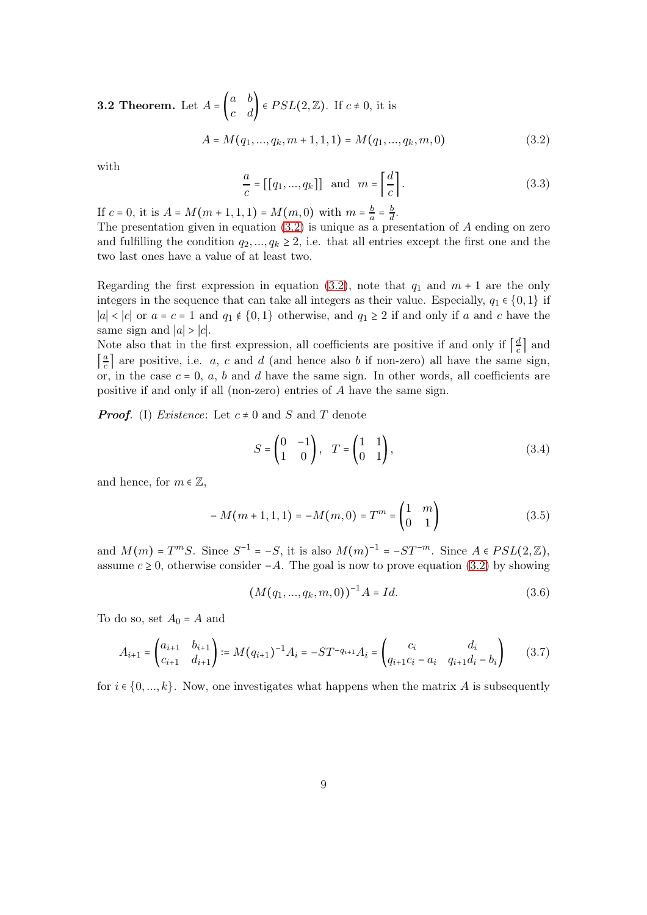**3.2 Theorem.** Let  $A = \begin{pmatrix} a & b \\ c & d \end{pmatrix} \in PSL(2, \mathbb{Z})$ . If  $c \neq 0$ , it is  $A = M(q_1, ..., q_k, m + 1, 1, 1) = M(q_1, ..., q_k, m, 0)$  (3.2)

with

<span id="page-8-1"></span><span id="page-8-0"></span>
$$
\frac{a}{c} = [[q_1, ..., q_k]] \text{ and } m = \left\lceil \frac{d}{c} \right\rceil. \tag{3.3}
$$

If  $c = 0$ , it is  $A = M(m + 1, 1, 1) = M(m, 0)$  with  $m = \frac{b}{a}$  $rac{b}{a} = \frac{b}{d}$  $\frac{b}{d}$ .

The presentation given in equation  $(3.2)$  is unique as a presentation of A ending on zero and fulfilling the condition  $q_2, ..., q_k \geq 2$ , i.e. that all entries except the first one and the two last ones have a value of at least two.

Regarding the first expression in equation [\(3.2\)](#page-8-1), note that  $q_1$  and  $m + 1$  are the only integers in the sequence that can take all integers as their value. Especially,  $q_1 \in \{0, 1\}$  if |a| < |c| or  $a = c = 1$  and  $q_1 \notin \{0, 1\}$  otherwise, and  $q_1 \geq 2$  if and only if a and c have the same sign and  $|a| > |c|$ .

Note also that in the first expression, all coefficients are positive if and only if  $\left[\frac{d}{c}\right]$  $\frac{a}{c}$  and  $\frac{a}{c}$  $\frac{a}{c}$  are positive, i.e. a, c and d (and hence also b if non-zero) all have the same sign, or, in the case  $c = 0$ ,  $a$ ,  $b$  and  $d$  have the same sign. In other words, all coefficients are positive if and only if all (non-zero) entries of A have the same sign.

**Proof.** (I) Existence: Let  $c \neq 0$  and S and T denote

$$
S = \begin{pmatrix} 0 & -1 \\ 1 & 0 \end{pmatrix}, \quad T = \begin{pmatrix} 1 & 1 \\ 0 & 1 \end{pmatrix}, \tag{3.4}
$$

and hence, for  $m \in \mathbb{Z}$ ,

<span id="page-8-2"></span>
$$
-M(m+1,1,1) = -M(m,0) = Tm = \begin{pmatrix} 1 & m \\ 0 & 1 \end{pmatrix}
$$
 (3.5)

and  $M(m) = T^mS$ . Since  $S^{-1} = -S$ , it is also  $M(m)^{-1} = -ST^{-m}$ . Since  $A \in PSL(2, \mathbb{Z})$ , assume  $c \ge 0$ , otherwise consider  $-A$ . The goal is now to prove equation [\(3.2\)](#page-8-1) by showing

<span id="page-8-3"></span>
$$
(M(q_1, ..., q_k, m, 0))^{-1}A = Id.
$$
\n(3.6)

To do so, set  $A_0 = A$  and

$$
A_{i+1} = \begin{pmatrix} a_{i+1} & b_{i+1} \\ c_{i+1} & d_{i+1} \end{pmatrix} := M(q_{i+1})^{-1} A_i = -ST^{-q_{i+1}} A_i = \begin{pmatrix} c_i & d_i \\ q_{i+1}c_i - a_i & q_{i+1}d_i - b_i \end{pmatrix}
$$
(3.7)

for  $i \in \{0, ..., k\}$ . Now, one investigates what happens when the matrix A is subsequently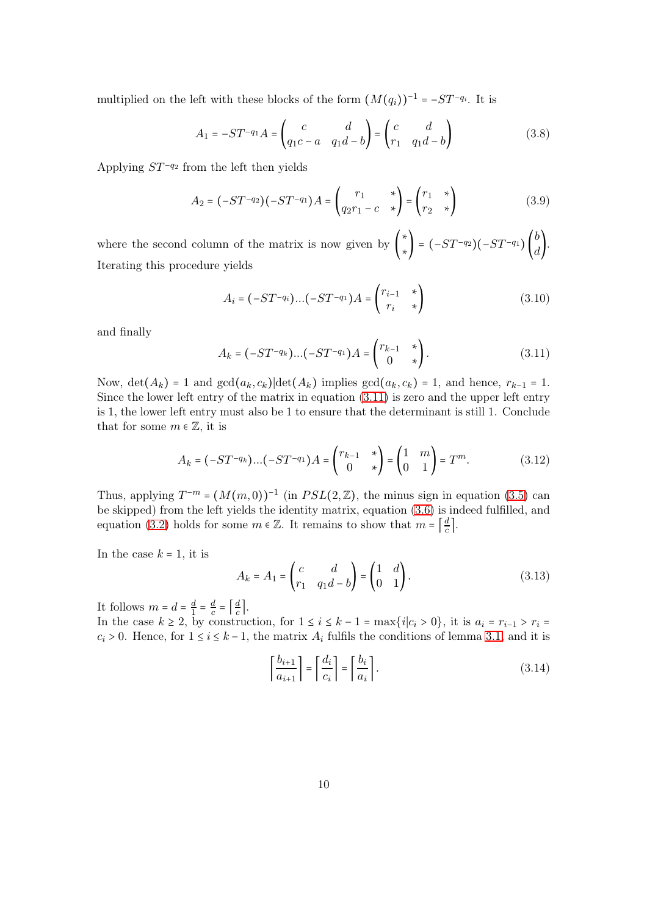multiplied on the left with these blocks of the form  $(M(q_i))^{-1} = -ST^{-q_i}$ . It is

$$
A_1 = -ST^{-q_1}A = \begin{pmatrix} c & d \\ q_1c - a & q_1d - b \end{pmatrix} = \begin{pmatrix} c & d \\ r_1 & q_1d - b \end{pmatrix}
$$
(3.8)

Applying  $ST^{-q_2}$  from the left then yields

$$
A_2 = (-ST^{-q_2})(-ST^{-q_1})A = \begin{pmatrix} r_1 & * \\ q_2r_1 - c & * \end{pmatrix} = \begin{pmatrix} r_1 & * \\ r_2 & * \end{pmatrix}
$$
(3.9)

where the second column of the matrix is now given by ( ∗ \*\} =  $(-ST^{-q_2})(-ST^{-q_1})\begin{pmatrix} b \\ d \end{pmatrix}$ . Iterating this procedure yields

$$
A_i = (-ST^{-q_i})\dots(-ST^{-q_1})A = \begin{pmatrix} r_{i-1} & * \\ r_i & * \end{pmatrix} \tag{3.10}
$$

and finally

<span id="page-9-0"></span>
$$
A_k = (-ST^{-q_k})...(-ST^{-q_1})A = \begin{pmatrix} r_{k-1} & * \\ 0 & * \end{pmatrix}.
$$
 (3.11)

Now, det( $A_k$ ) = 1 and gcd( $a_k$ ,  $c_k$ )|det( $A_k$ ) implies gcd( $a_k$ ,  $c_k$ ) = 1, and hence,  $r_{k-1}$  = 1. Since the lower left entry of the matrix in equation [\(3.11\)](#page-9-0) is zero and the upper left entry is 1, the lower left entry must also be 1 to ensure that the determinant is still 1. Conclude that for some  $m \in \mathbb{Z}$ , it is

<span id="page-9-1"></span>
$$
A_k = (-ST^{-q_k})...(-ST^{-q_1})A = \begin{pmatrix} r_{k-1} & * \\ 0 & * \end{pmatrix} = \begin{pmatrix} 1 & m \\ 0 & 1 \end{pmatrix} = T^m.
$$
 (3.12)

Thus, applying  $T^{-m} = (M(m, 0))^{-1}$  (in  $PSL(2, \mathbb{Z})$ , the minus sign in equation [\(3.5\)](#page-8-2) can be skipped) from the left yields the identity matrix, equation [\(3.6\)](#page-8-3) is indeed fulfilled, and equation [\(3.2\)](#page-8-1) holds for some  $m \in \mathbb{Z}$ . It remains to show that  $m = \left\lceil \frac{d}{c} \right\rceil$  $\frac{a}{c}$ .

In the case  $k = 1$ , it is

$$
A_k = A_1 = \begin{pmatrix} c & d \\ r_1 & q_1 d - b \end{pmatrix} = \begin{pmatrix} 1 & d \\ 0 & 1 \end{pmatrix}.
$$
 (3.13)

It follows  $m=d=\frac{d}{1}=\frac{d}{c}$  $\frac{d}{c} = \left[\frac{d}{c}\right]$  $\frac{a}{c}$ .

In the case  $k \ge 2$ , by construction, for  $1 \le i \le k - 1 = \max\{i|c_i > 0\}$ , it is  $a_i = r_{i-1} > r_i =$  $c_i > 0$ . Hence, for  $1 \le i \le k-1$ , the matrix  $A_i$  fulfils the conditions of lemma [3.1,](#page-7-3) and it is

$$
\left\lceil \frac{b_{i+1}}{a_{i+1}} \right\rceil = \left\lceil \frac{d_i}{c_i} \right\rceil = \left\lceil \frac{b_i}{a_i} \right\rceil. \tag{3.14}
$$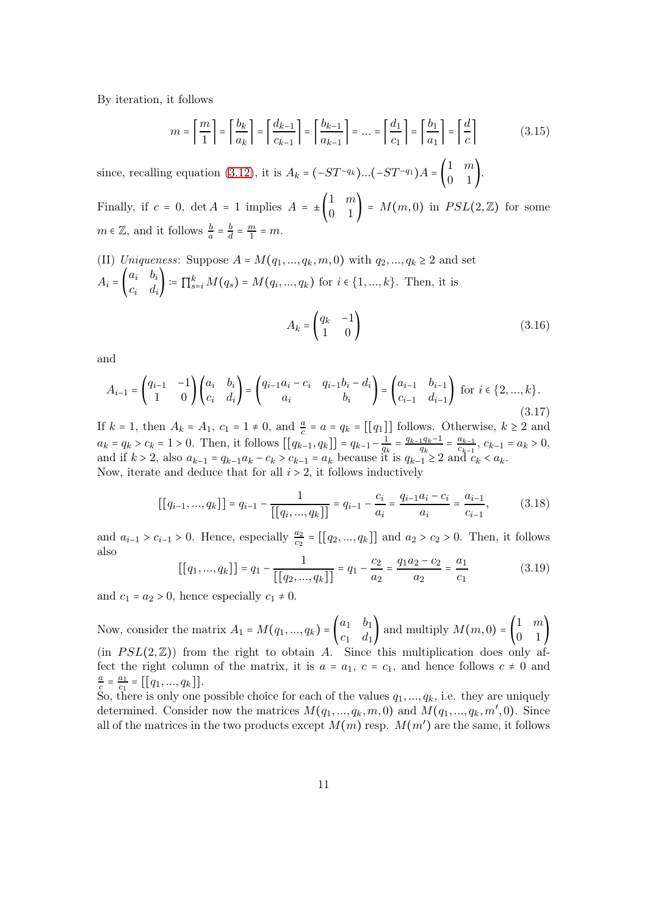By iteration, it follows

$$
m = \left\lceil \frac{m}{1} \right\rceil = \left\lceil \frac{b_k}{a_k} \right\rceil = \left\lceil \frac{d_{k-1}}{c_{k-1}} \right\rceil = \left\lceil \frac{b_{k-1}}{a_{k-1}} \right\rceil = \dots = \left\lceil \frac{d_1}{c_1} \right\rceil = \left\lceil \frac{b_1}{a_1} \right\rceil = \left\lceil \frac{d}{c} \right\rceil \tag{3.15}
$$

since, recalling equation [\(3.12\)](#page-9-1), it is  $A_k = (-ST^{-q_k})...(-ST^{-q_1})A = \begin{pmatrix} 1 & m \\ 0 & 1 \end{pmatrix}$ . Finally, if  $c = 0$ ,  $\det A = 1$  implies  $A = \pm \begin{pmatrix} 1 & m \\ 0 & 1 \end{pmatrix} = M(m, 0)$  in  $PSL(2, \mathbb{Z})$  for some  $m \in \mathbb{Z}$ , and it follows  $\frac{b}{a} = \frac{b}{d}$  $\frac{b}{d} = \frac{m}{1} = m.$ 

(II) *Uniqueness*: Suppose 
$$
A = M(q_1, ..., q_k, m, 0)
$$
 with  $q_2, ..., q_k \ge 2$  and set  
\n
$$
A_i = \begin{pmatrix} a_i & b_i \\ c_i & d_i \end{pmatrix} := \prod_{s=i}^k M(q_s) = M(q_i, ..., q_k)
$$
 for  $i \in \{1, ..., k\}$ . Then, it is\n
$$
A_k = \begin{pmatrix} q_k & -1 \\ 1 & 0 \end{pmatrix}
$$
\n(3.16)

and

$$
A_{i-1} = \begin{pmatrix} q_{i-1} & -1 \\ 1 & 0 \end{pmatrix} \begin{pmatrix} a_i & b_i \\ c_i & d_i \end{pmatrix} = \begin{pmatrix} q_{i-1}a_i - c_i & q_{i-1}b_i - d_i \\ a_i & b_i \end{pmatrix} = \begin{pmatrix} a_{i-1} & b_{i-1} \\ c_{i-1} & d_{i-1} \end{pmatrix}
$$
 for  $i \in \{2, ..., k\}$ . (3.17)

If  $k = 1$ , then  $A_k = A_1$ ,  $c_1 = 1 \neq 0$ , and  $\frac{a}{c} = a = q_k = [[q_1]]$  follows. Otherwise,  $k \geq 2$  and  $a_k = q_k > c_k = 1 > 0$ . Then, it follows  $[[q_{k-1}, q_k]] = q_{k-1} - \frac{1}{q_k}$  $\frac{1}{q_k} = \frac{q_{k-1}q_k - 1}{q_k}$  $\frac{1}{q_k} = \frac{a_{k-1}}{c_{k-1}}$  $\frac{a_{k-1}}{c_{k-1}}, c_{k-1} = a_k > 0,$ and if  $k > 2$ , also  $a_{k-1} = q_{k-1}a_k - c_k > c_{k-1} = a_k$  because it is  $q_{k-1} \ge 2$  and  $c_k < a_k$ . Now, iterate and deduce that for all  $i > 2$ , it follows inductively

$$
\left[\left[q_{i-1},\ldots,q_k\right]\right] = q_{i-1} - \frac{1}{\left[\left[q_i,\ldots,q_k\right]\right]} = q_{i-1} - \frac{c_i}{a_i} = \frac{q_{i-1}a_i - c_i}{a_i} = \frac{a_{i-1}}{c_{i-1}},\tag{3.18}
$$

and  $a_{i-1} > c_{i-1} > 0$ . Hence, especially  $\frac{a_2}{c_2} = [[q_2, ..., q_k]]$  and  $a_2 > c_2 > 0$ . Then, it follows also

$$
[[q_1, ..., q_k]] = q_1 - \frac{1}{[[q_2, ..., q_k]]} = q_1 - \frac{c_2}{a_2} = \frac{q_1 a_2 - c_2}{a_2} = \frac{a_1}{c_1}
$$
(3.19)

and  $c_1 = a_2 > 0$ , hence especially  $c_1 \neq 0$ .

Now, consider the matrix  $A_1 = M(q_1, ..., q_k) = \begin{pmatrix} a_1 & b_1 \\ c_1 & d_2 \end{pmatrix}$  $\begin{pmatrix} a_1 & b_1 \\ c_1 & d_1 \end{pmatrix}$  and multiply  $M(m, 0) = \begin{pmatrix} 1 & m \\ 0 & 1 \end{pmatrix}$  $0 \quad 1$ (in  $PSL(2,\mathbb{Z})$ ) from the right to obtain A. Since this multiplication does only affect the right column of the matrix, it is  $a = a_1, c = c_1$ , and hence follows  $c \neq 0$  and a  $\frac{a}{c} = \frac{a_1}{c_1}$  $\frac{a_1}{c_1} = [[q_1, ..., q_k]].$ 

So, there is only one possible choice for each of the values  $q_1, ..., q_k$ , i.e. they are uniquely determined. Consider now the matrices  $M(q_1, ..., q_k, m, 0)$  and  $M(q_1, ..., q_k, m', 0)$ . Since all of the matrices in the two products except  $M(m)$  resp.  $M(m')$  are the same, it follows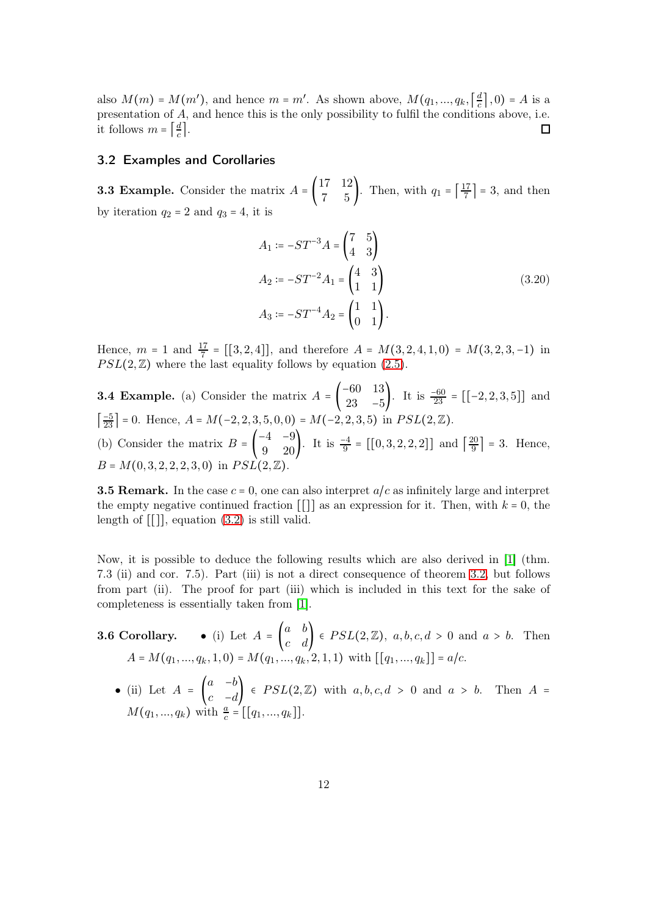also  $M(m) = M(m')$ , and hence  $m = m'$ . As shown above,  $M(q_1, ..., q_k, \lceil \frac{d}{c} \rceil)$  $\frac{a}{c} \mid, 0$ ) = A is a presentation of  $A$ , and hence this is the only possibility to fulfil the conditions above, i.e. it follows  $m = \left[\frac{d}{c}\right]$  $\frac{d}{c}$ .  $\Box$ 

#### <span id="page-11-0"></span>3.2 Examples and Corollaries

**3.3 Example.** Consider the matrix  $A = \begin{pmatrix} 17 & 12 \\ 7 & 5 \end{pmatrix}$ . Then, with  $q_1 = \begin{bmatrix} \frac{17}{7} & 12 \\ 7 & 7 \end{bmatrix}$ .  $\frac{17}{7}$  = 3, and then by iteration  $q_2 = 2$  and  $q_3 = 4$ , it is

$$
A_1 := -ST^{-3}A = \begin{pmatrix} 7 & 5 \\ 4 & 3 \end{pmatrix}
$$
  
\n
$$
A_2 := -ST^{-2}A_1 = \begin{pmatrix} 4 & 3 \\ 1 & 1 \end{pmatrix}
$$
  
\n
$$
A_3 := -ST^{-4}A_2 = \begin{pmatrix} 1 & 1 \\ 0 & 1 \end{pmatrix}.
$$
\n(3.20)

Hence,  $m = 1$  and  $\frac{17}{7} = [[3, 2, 4]],$  and therefore  $A = M(3, 2, 4, 1, 0) = M(3, 2, 3, -1)$  in  $PSL(2,\mathbb{Z})$  where the last equality follows by equation [\(2.5\)](#page-3-3).

**3.4 Example.** (a) Consider the matrix  $A = \begin{bmatrix} 1 & 0 \\ 0 & 0 \end{bmatrix}$ −60 13  $\begin{bmatrix} -60 & 13 \\ 23 & -5 \end{bmatrix}$ . It is  $\frac{-60}{23} = [[-2, 2, 3, 5]]$  and  $\left[\frac{-5}{23}\right]$  = 0. Hence,  $A = M(-2, 2, 3, 5, 0, 0) = M(-2, 2, 3, 5)$  in  $PSL(2, \mathbb{Z})$ . (b) Consider the matrix  $B = \begin{bmatrix} 1 & 0 \\ 0 & 0 \end{bmatrix}$  $\begin{pmatrix} -4 & -9 \\ 9 & 20 \end{pmatrix}$ . It is  $\frac{-4}{9} = [[0, 3, 2, 2, 2]]$  and  $\left[\frac{20}{9}\right]$  $\frac{20}{9}$  = 3. Hence,  $B = M(0, 3, 2, 2, 2, 3, 0)$  in  $PSL(2,$ 

**3.5 Remark.** In the case  $c = 0$ , one can also interpret  $a/c$  as infinitely large and interpret the empty negative continued fraction  $\lfloor \cdot \rfloor$  as an expression for it. Then, with  $k = 0$ , the length of [[]], equation [\(3.2\)](#page-8-1) is still valid.

Now, it is possible to deduce the following results which are also derived in [\[1\]](#page-38-0) (thm. 7.3 (ii) and cor. 7.5). Part (iii) is not a direct consequence of theorem [3.2,](#page-8-0) but follows from part (ii). The proof for part (iii) which is included in this text for the sake of completeness is essentially taken from [\[1\]](#page-38-0).

**3.6 Corollary.** • (i) Let  $A = \begin{pmatrix} a & b \\ c & d \end{pmatrix} \in PSL(2, \mathbb{Z})$ ,  $a, b, c, d > 0$  and  $a > b$ . Then  $A = M(q_1, ..., q_k, 1, 0) = M(q_1, ..., q_k, 2, 1, 1)$  with  $[[q_1, ..., q_k]] = a/c$ . • (ii) Let  $A = \begin{bmatrix} \end{bmatrix}$  $a - b$  $\begin{pmatrix} a & -b \\ c & -d \end{pmatrix}$   $\in PSL(2, \mathbb{Z})$  with  $a, b, c, d > 0$  and  $a > b$ . Then  $A =$  $M(q_1, ..., q_k)$  with  $\frac{a}{c} = [[q_1, ..., q_k]].$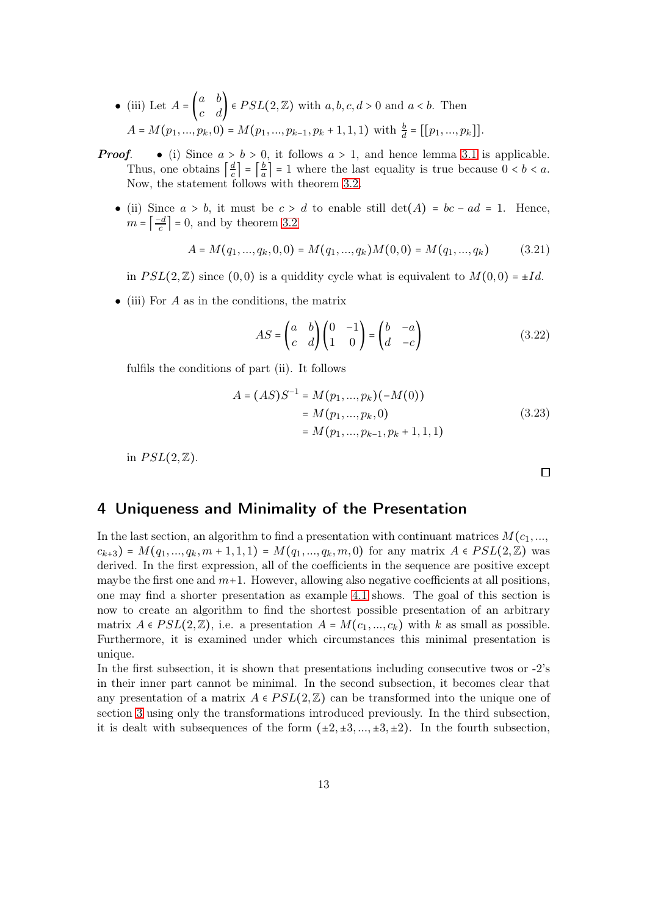- (iii) Let  $A = \begin{pmatrix} a & b \\ c & d \end{pmatrix} \in PSL(2, \mathbb{Z})$  with  $a, b, c, d > 0$  and  $a < b$ . Then  $A = M(p_1, ..., p_k, 0) = M(p_1, ..., p_{k-1}, p_k + 1, 1, 1)$  with  $\frac{b}{d} = [[p_1, ..., p_k]].$
- **Proof.** (i) Since  $a > b > 0$ , it follows  $a > 1$ , and hence lemma [3.1](#page-7-3) is applicable. Thus, one obtains  $\left[\frac{d}{c}\right]$  $\left\lfloor \frac{d}{c} \right\rfloor = \left\lceil \frac{b}{a} \right\rceil$  $\frac{b}{a}$  = 1 where the last equality is true because  $0 < b < a$ . Now, the statement follows with theorem [3.2.](#page-8-0)
	- (ii) Since  $a > b$ , it must be  $c > d$  to enable still det(A) = bc ad = 1. Hence,  $m = \frac{-d}{c}$  $\left| \frac{c}{c} \right| = 0$ , and by theorem [3.2](#page-8-0)

$$
A = M(q_1, ..., q_k, 0, 0) = M(q_1, ..., q_k)M(0, 0) = M(q_1, ..., q_k)
$$
 (3.21)

in  $PSL(2,\mathbb{Z})$  since  $(0,0)$  is a quiddity cycle what is equivalent to  $M(0,0) = \pm Id$ .

• (iii) For  $A$  as in the conditions, the matrix

$$
AS = \begin{pmatrix} a & b \\ c & d \end{pmatrix} \begin{pmatrix} 0 & -1 \\ 1 & 0 \end{pmatrix} = \begin{pmatrix} b & -a \\ d & -c \end{pmatrix}
$$
 (3.22)

fulfils the conditions of part (ii). It follows

$$
A = (AS)S^{-1} = M(p_1, ..., p_k)(-M(0))
$$
  
= M(p\_1, ..., p\_k, 0)  
= M(p\_1, ..., p\_{k-1}, p\_k + 1, 1, 1) (3.23)

in  $PSL(2,\mathbb{Z})$ .

 $\Box$ 

### <span id="page-12-0"></span>4 Uniqueness and Minimality of the Presentation

In the last section, an algorithm to find a presentation with continuant matrices  $M(c_1, \ldots, c_n)$  $c_{k+3}$ ) =  $M(q_1,...,q_k,m+1,1,1) = M(q_1,...,q_k,m,0)$  for any matrix  $A \in PSL(2,\mathbb{Z})$  was derived. In the first expression, all of the coefficients in the sequence are positive except maybe the first one and  $m+1$ . However, allowing also negative coefficients at all positions, one may find a shorter presentation as example [4.1](#page-13-1) shows. The goal of this section is now to create an algorithm to find the shortest possible presentation of an arbitrary matrix  $A \in PSL(2, \mathbb{Z})$ , i.e. a presentation  $A = M(c_1, ..., c_k)$  with k as small as possible. Furthermore, it is examined under which circumstances this minimal presentation is unique.

In the first subsection, it is shown that presentations including consecutive twos or -2's in their inner part cannot be minimal. In the second subsection, it becomes clear that any presentation of a matrix  $A \in PSL(2,\mathbb{Z})$  can be transformed into the unique one of section [3](#page-7-0) using only the transformations introduced previously. In the third subsection, it is dealt with subsequences of the form  $(\pm 2, \pm 3, ..., \pm 3, \pm 2)$ . In the fourth subsection,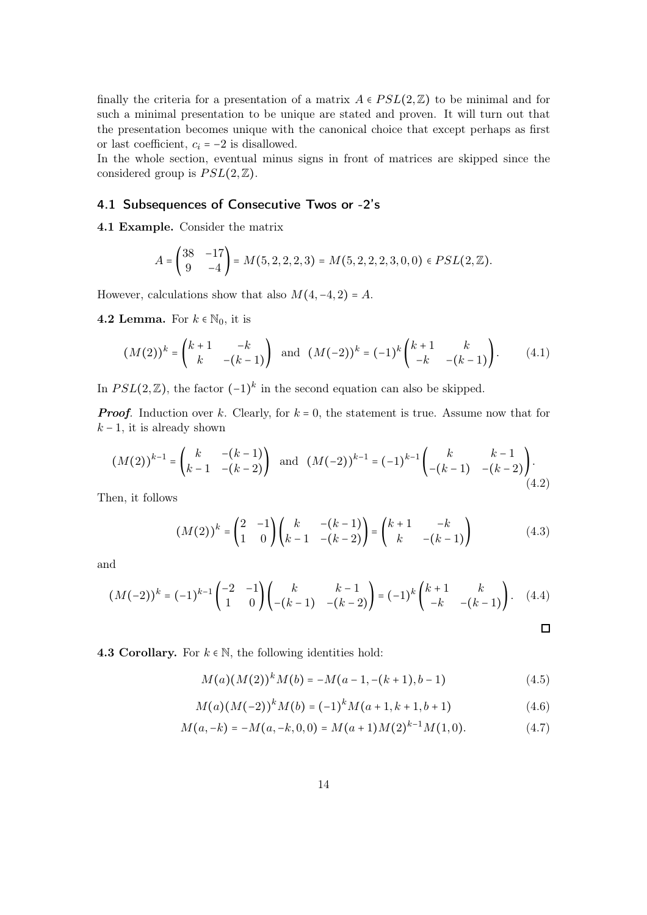finally the criteria for a presentation of a matrix  $A \in PSL(2,\mathbb{Z})$  to be minimal and for such a minimal presentation to be unique are stated and proven. It will turn out that the presentation becomes unique with the canonical choice that except perhaps as first or last coefficient,  $c_i = -2$  is disallowed.

In the whole section, eventual minus signs in front of matrices are skipped since the considered group is  $PSL(2,\mathbb{Z})$ .

#### <span id="page-13-0"></span>4.1 Subsequences of Consecutive Twos or -2's

<span id="page-13-1"></span>4.1 Example. Consider the matrix

$$
A = \begin{pmatrix} 38 & -17 \\ 9 & -4 \end{pmatrix} = M(5, 2, 2, 2, 3) = M(5, 2, 2, 2, 3, 0, 0) \in PSL(2, \mathbb{Z}).
$$

However, calculations show that also  $M(4, -4, 2) = A$ .

4.2 Lemma. For  $k \in \mathbb{N}_0$ , it is

$$
(M(2))^k = \begin{pmatrix} k+1 & -k \\ k & -(k-1) \end{pmatrix} \text{ and } (M(-2))^k = (-1)^k \begin{pmatrix} k+1 & k \\ -k & -(k-1) \end{pmatrix}.
$$
 (4.1)

In  $PSL(2, \mathbb{Z})$ , the factor  $(-1)^k$  in the second equation can also be skipped.

**Proof.** Induction over k. Clearly, for  $k = 0$ , the statement is true. Assume now that for  $k-1$ , it is already shown

$$
(M(2))^{k-1} = \begin{pmatrix} k & -(k-1) \\ k-1 & -(k-2) \end{pmatrix} \text{ and } (M(-2))^{k-1} = (-1)^{k-1} \begin{pmatrix} k & k-1 \\ -(k-1) & -(k-2) \end{pmatrix}.
$$
\n(4.2)

Then, it follows

$$
(M(2))^k = \begin{pmatrix} 2 & -1 \\ 1 & 0 \end{pmatrix} \begin{pmatrix} k & -(k-1) \\ k-1 & -(k-2) \end{pmatrix} = \begin{pmatrix} k+1 & -k \\ k & -(k-1) \end{pmatrix}
$$
(4.3)

and

$$
(M(-2))^{k} = (-1)^{k-1} \begin{pmatrix} -2 & -1 \ 1 & 0 \end{pmatrix} \begin{pmatrix} k & k-1 \ -(k-1) & -(k-2) \end{pmatrix} = (-1)^{k} \begin{pmatrix} k+1 & k \ -k & -(k-1) \end{pmatrix}.
$$
 (4.4)

4.3 Corollary. For  $k \in \mathbb{N}$ , the following identities hold:

<span id="page-13-3"></span>
$$
M(a)(M(2))^{k}M(b) = -M(a-1, -(k+1), b-1)
$$
\n(4.5)

<span id="page-13-4"></span>
$$
M(a)(M(-2))^{k}M(b) = (-1)^{k}M(a+1, k+1, b+1)
$$
\n(4.6)

<span id="page-13-2"></span>
$$
M(a, -k) = -M(a, -k, 0, 0) = M(a + 1)M(2)^{k-1}M(1, 0).
$$
 (4.7)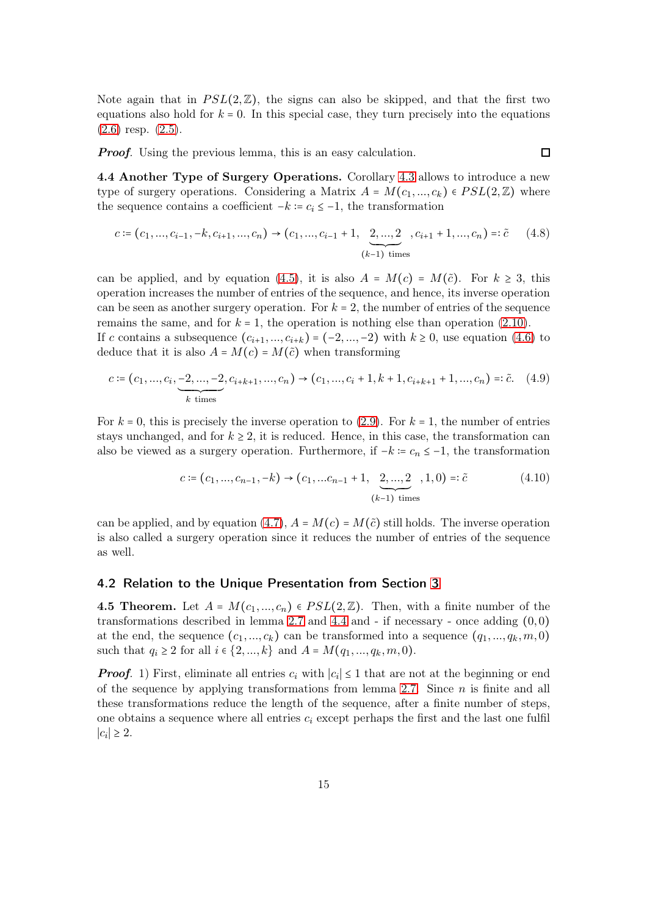Note again that in  $PSL(2,\mathbb{Z})$ , the signs can also be skipped, and that the first two equations also hold for  $k = 0$ . In this special case, they turn precisely into the equations  $(2.6)$  resp.  $(2.5)$ .

<span id="page-14-4"></span><span id="page-14-3"></span><span id="page-14-1"></span> $\Box$ 

**Proof.** Using the previous lemma, this is an easy calculation.

4.4 Another Type of Surgery Operations. Corollary [4.3](#page-13-2) allows to introduce a new type of surgery operations. Considering a Matrix  $A = M(c_1, ..., c_k) \in PSL(2, \mathbb{Z})$  where the sequence contains a coefficient  $-k = c_i \leq -1$ , the transformation

$$
c := (c_1, ..., c_{i-1}, -k, c_{i+1}, ..., c_n) \rightarrow (c_1, ..., c_{i-1} + 1, \underbrace{2, ..., 2}_{(k-1) \text{ times}}, c_{i+1} + 1, ..., c_n) =: \tilde{c} \quad (4.8)
$$

can be applied, and by equation [\(4.5\)](#page-13-3), it is also  $A = M(c) = M(\tilde{c})$ . For  $k \geq 3$ , this operation increases the number of entries of the sequence, and hence, its inverse operation can be seen as another surgery operation. For  $k = 2$ , the number of entries of the sequence remains the same, and for  $k = 1$ , the operation is nothing else than operation [\(2.10\)](#page-4-1). If c contains a subsequence  $(c_{i+1},...,c_{i+k}) = (-2,...,-2)$  with  $k \ge 0$ , use equation [\(4.6\)](#page-13-4) to deduce that it is also  $A = M(c) = M(\tilde{c})$  when transforming

$$
c := (c_1, ..., c_i, \underbrace{-2, ..., -2}_{k \text{ times}}, c_{i+k+1}, ..., c_n) \rightarrow (c_1, ..., c_i + 1, k + 1, c_{i+k+1} + 1, ..., c_n) =: \tilde{c}.\tag{4.9}
$$

For  $k = 0$ , this is precisely the inverse operation to [\(2.9\)](#page-4-2). For  $k = 1$ , the number of entries stays unchanged, and for  $k \geq 2$ , it is reduced. Hence, in this case, the transformation can also be viewed as a surgery operation. Furthermore, if  $-k = c_n \le -1$ , the transformation

$$
c := (c_1, ..., c_{n-1}, -k) \to (c_1, ..., c_{n-1} + 1, \underbrace{2, ..., 2}_{(k-1) \text{ times}}, 1, 0) =: \tilde{c}
$$
 (4.10)

can be applied, and by equation [\(4.7\)](#page-13-2),  $A = M(c) = M(\tilde{c})$  still holds. The inverse operation is also called a surgery operation since it reduces the number of entries of the sequence as well.

#### <span id="page-14-0"></span>4.2 Relation to the Unique Presentation from Section [3](#page-7-0)

<span id="page-14-2"></span>4.5 Theorem. Let  $A = M(c_1, ..., c_n) \in PSL(2, \mathbb{Z})$ . Then, with a finite number of the transformations described in lemma [2.7](#page-4-0) and [4.4](#page-14-1) and - if necessary - once adding  $(0,0)$ at the end, the sequence  $(c_1, ..., c_k)$  can be transformed into a sequence  $(q_1, ..., q_k, m, 0)$ such that  $q_i \geq 2$  for all  $i \in \{2, ..., k\}$  and  $A = M(q_1, ..., q_k, m, 0)$ .

**Proof.** 1) First, eliminate all entries  $c_i$  with  $|c_i| \leq 1$  that are not at the beginning or end of the sequence by applying transformations from lemma [2.7.](#page-4-0) Since  $n$  is finite and all these transformations reduce the length of the sequence, after a finite number of steps, one obtains a sequence where all entries  $c_i$  except perhaps the first and the last one fulfil  $|c_i|$  ≥ 2.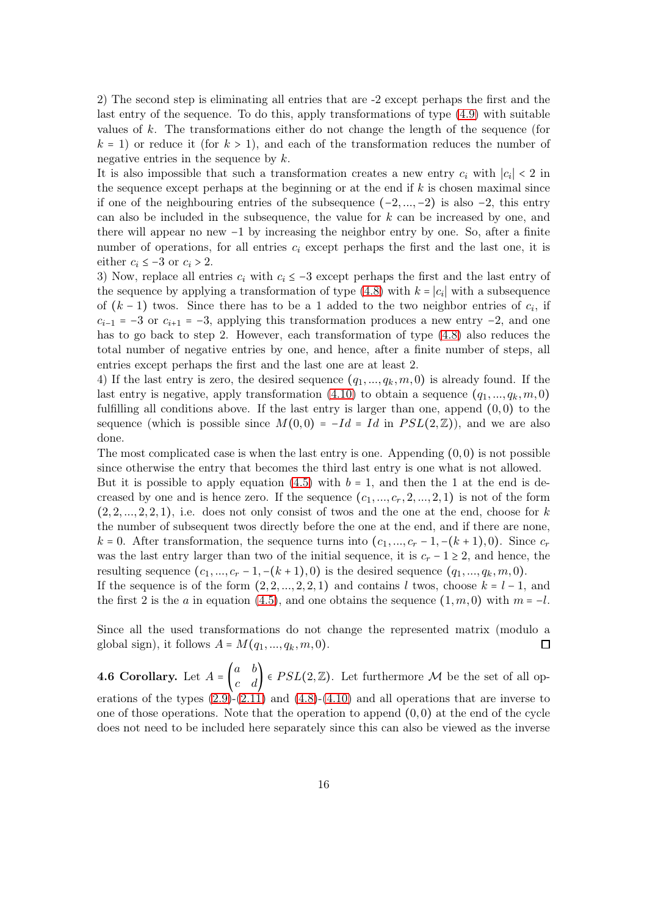2) The second step is eliminating all entries that are -2 except perhaps the first and the last entry of the sequence. To do this, apply transformations of type [\(4.9\)](#page-14-3) with suitable values of k. The transformations either do not change the length of the sequence (for  $k = 1$ ) or reduce it (for  $k > 1$ ), and each of the transformation reduces the number of negative entries in the sequence by  $k$ .

It is also impossible that such a transformation creates a new entry  $c_i$  with  $|c_i| < 2$  in the sequence except perhaps at the beginning or at the end if  $k$  is chosen maximal since if one of the neighbouring entries of the subsequence  $(-2, \ldots, -2)$  is also  $-2$ , this entry can also be included in the subsequence, the value for k can be increased by one, and there will appear no new −1 by increasing the neighbor entry by one. So, after a finite number of operations, for all entries  $c_i$  except perhaps the first and the last one, it is either  $c_i \leq -3$  or  $c_i > 2$ .

3) Now, replace all entries  $c_i$  with  $c_i \leq -3$  except perhaps the first and the last entry of the sequence by applying a transformation of type  $(4.8)$  with  $k = |c_i|$  with a subsequence of  $(k-1)$  twos. Since there has to be a 1 added to the two neighbor entries of  $c_i$ , if  $c_{i-1}$  = −3 or  $c_{i+1}$  = −3, applying this transformation produces a new entry −2, and one has to go back to step 2. However, each transformation of type [\(4.8\)](#page-14-4) also reduces the total number of negative entries by one, and hence, after a finite number of steps, all entries except perhaps the first and the last one are at least 2.

4) If the last entry is zero, the desired sequence  $(q_1, ..., q_k, m, 0)$  is already found. If the last entry is negative, apply transformation [\(4.10\)](#page-14-1) to obtain a sequence  $(q_1, ..., q_k, m, 0)$ fulfilling all conditions above. If the last entry is larger than one, append  $(0,0)$  to the sequence (which is possible since  $M(0,0) = -Id = Id$  in  $PSL(2,\mathbb{Z})$ ), and we are also done.

The most complicated case is when the last entry is one. Appending  $(0,0)$  is not possible since otherwise the entry that becomes the third last entry is one what is not allowed.

But it is possible to apply equation  $(4.5)$  with  $b = 1$ , and then the 1 at the end is decreased by one and is hence zero. If the sequence  $(c_1, ..., c_r, 2, ..., 2, 1)$  is not of the form  $(2, 2, \ldots, 2, 2, 1)$ , i.e. does not only consist of twos and the one at the end, choose for k the number of subsequent twos directly before the one at the end, and if there are none, k = 0. After transformation, the sequence turns into  $(c_1, ..., c_r - 1, -(k+1), 0)$ . Since  $c_r$ was the last entry larger than two of the initial sequence, it is  $c_r - 1 \geq 2$ , and hence, the resulting sequence  $(c_1, ..., c_r - 1, -(k + 1), 0)$  is the desired sequence  $(q_1, ..., q_k, m, 0)$ .

If the sequence is of the form  $(2, 2, ..., 2, 2, 1)$  and contains l twos, choose  $k = l - 1$ , and the first 2 is the a in equation [\(4.5\)](#page-13-3), and one obtains the sequence  $(1,m,0)$  with  $m = -l$ .

Since all the used transformations do not change the represented matrix (modulo a global sign), it follows  $A = M(q_1, ..., q_k, m, 0)$ .  $\Box$ 

<span id="page-15-0"></span>**4.6 Corollary.** Let  $A = \begin{pmatrix} a & b \\ c & d \end{pmatrix} \in PSL(2, \mathbb{Z})$ . Let furthermore M be the set of all operations of the types  $(2.9)-(2.11)$  $(2.9)-(2.11)$  $(2.9)-(2.11)$  and  $(4.8)-(4.10)$  $(4.8)-(4.10)$  $(4.8)-(4.10)$  and all operations that are inverse to one of those operations. Note that the operation to append  $(0,0)$  at the end of the cycle does not need to be included here separately since this can also be viewed as the inverse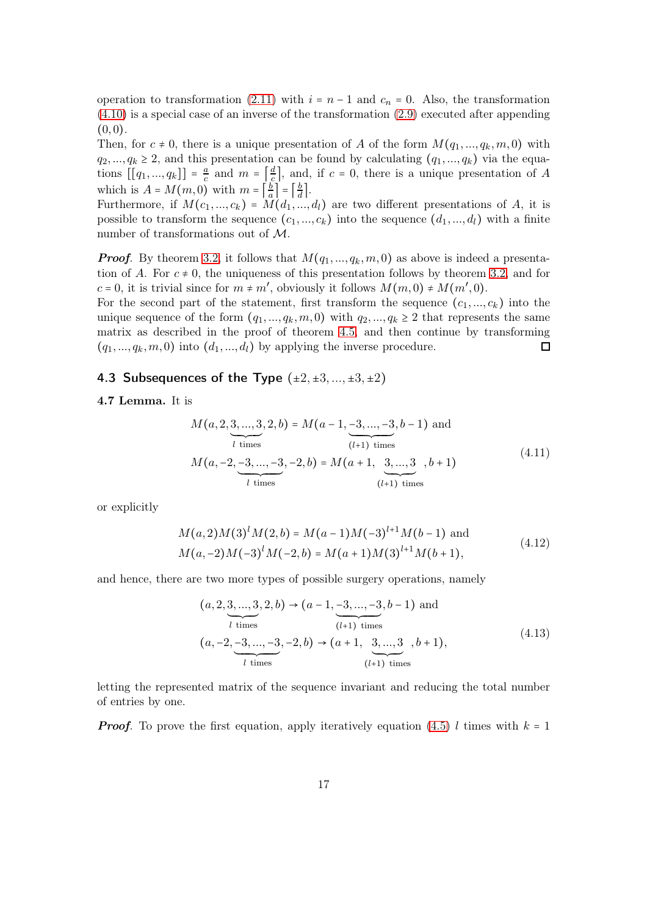operation to transformation [\(2.11\)](#page-4-0) with  $i = n - 1$  and  $c_n = 0$ . Also, the transformation [\(4.10\)](#page-14-1) is a special case of an inverse of the transformation [\(2.9\)](#page-4-2) executed after appending  $(0, 0).$ 

Then, for  $c \neq 0$ , there is a unique presentation of A of the form  $M(q_1, ..., q_k, m, 0)$  with  $q_2, ..., q_k \geq 2$ , and this presentation can be found by calculating  $(q_1, ..., q_k)$  via the equations  $[[q_1, ..., q_k]] = \frac{a}{c}$  $\frac{a}{c}$  and  $m = \left[\frac{d}{c}\right]$  $\frac{d}{c}$ , and, if  $c = 0$ , there is a unique presentation of A which is  $A = M(m, 0)$  with  $m = \frac{b}{a}$  $\left\lfloor \frac{b}{a} \right\rfloor = \left\lceil \frac{b}{d} \right\rceil$  $rac{b}{d}$ .

Furthermore, if  $M(c_1, ..., c_k) = M(d_1, ..., d_l)$  are two different presentations of A, it is possible to transform the sequence  $(c_1, ..., c_k)$  into the sequence  $(d_1, ..., d_l)$  with a finite number of transformations out of M.

**Proof.** By theorem [3.2,](#page-8-0) it follows that  $M(q_1, ..., q_k, m, 0)$  as above is indeed a presentation of A. For  $c \neq 0$ , the uniqueness of this presentation follows by theorem [3.2,](#page-8-0) and for  $c = 0$ , it is trivial since for  $m \neq m'$ , obviously it follows  $M(m, 0) \neq M(m', 0)$ .

For the second part of the statement, first transform the sequence  $(c_1, ..., c_k)$  into the unique sequence of the form  $(q_1, ..., q_k, m, 0)$  with  $q_2, ..., q_k \geq 2$  that represents the same matrix as described in the proof of theorem [4.5,](#page-14-2) and then continue by transforming  $(q_1, ..., q_k, m, 0)$  into  $(d_1, ..., d_l)$  by applying the inverse procedure.  $\Box$ 

#### <span id="page-16-0"></span>4.3 Subsequences of the Type  $(\pm 2, \pm 3, ..., \pm 3, \pm 2)$

#### 4.7 Lemma. It is

$$
M(a, 2, 3, ..., 3, 2, b) = M(a - 1, \underbrace{-3, ..., -3}_{(l+1) \text{ times}}, b - 1) \text{ and}
$$
  

$$
M(a, -2, \underbrace{-3, ..., -3}_{l \text{ times}}, -2, b) = M(a + 1, \underbrace{3, ..., 3}_{(l+1) \text{ times}}, b + 1)
$$
 (4.11)

or explicitly

$$
M(a,2)M(3)lM(2,b) = M(a-1)M(-3)l+1M(b-1) \text{ and}
$$
  

$$
M(a,-2)M(-3)lM(-2,b) = M(a+1)M(3)l+1M(b+1),
$$
 (4.12)

and hence, there are two more types of possible surgery operations, namely

<span id="page-16-1"></span>
$$
(a, 2, \underbrace{3, ..., 3}_{l \text{ times}}, 2, b) \rightarrow (a - 1, \underbrace{-3, ..., -3}_{(l+1) \text{ times}}, b - 1) \text{ and}
$$
  

$$
(a, -2, \underbrace{-3, ..., -3}_{l \text{ times}}, -2, b) \rightarrow (a + 1, \underbrace{3, ..., 3}_{(l+1) \text{ times}}, b + 1),
$$
  
(4.13)

letting the represented matrix of the sequence invariant and reducing the total number of entries by one.

**Proof.** To prove the first equation, apply iteratively equation [\(4.5\)](#page-13-3) l times with  $k = 1$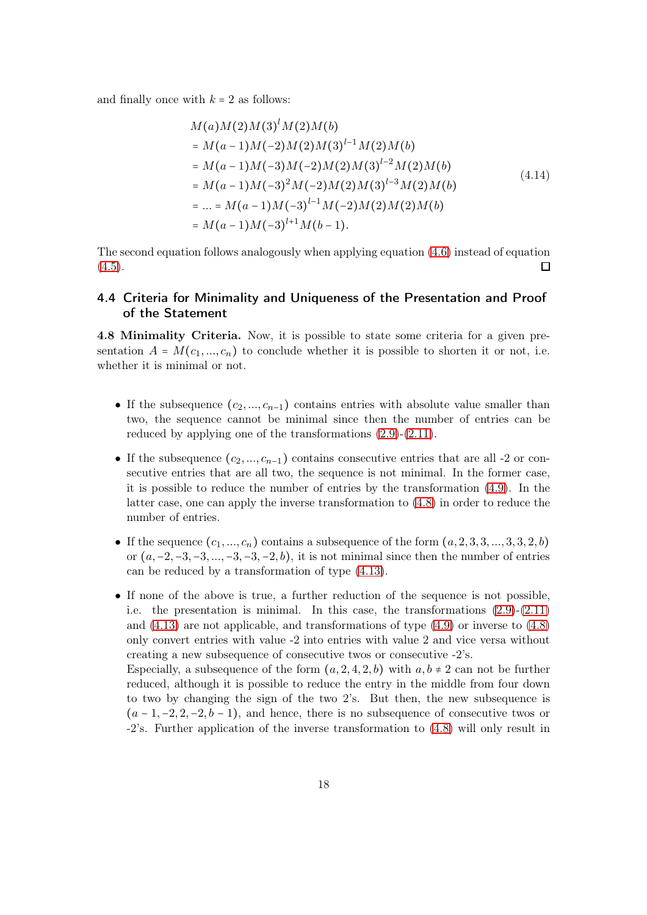and finally once with  $k = 2$  as follows:

$$
M(a)M(2)M(3)1M(2)M(b)
$$
  
=  $M(a-1)M(-2)M(2)M(3)^{l-1}M(2)M(b)$   
=  $M(a-1)M(-3)M(-2)M(2)M(3)^{l-2}M(2)M(b)$   
=  $M(a-1)M(-3)^{2}M(-2)M(2)M(3)^{l-3}M(2)M(b)$   
= ... =  $M(a-1)M(-3)^{l-1}M(-2)M(2)M(2)M(b)$   
=  $M(a-1)M(-3)^{l+1}M(b-1)$ .

The second equation follows analogously when applying equation [\(4.6\)](#page-13-4) instead of equation  $(4.5).$  $(4.5).$  $\Box$ 

#### <span id="page-17-0"></span>4.4 Criteria for Minimality and Uniqueness of the Presentation and Proof of the Statement

4.8 Minimality Criteria. Now, it is possible to state some criteria for a given presentation  $A = M(c_1, ..., c_n)$  to conclude whether it is possible to shorten it or not, i.e. whether it is minimal or not.

- If the subsequence  $(c_2, ..., c_{n-1})$  contains entries with absolute value smaller than two, the sequence cannot be minimal since then the number of entries can be reduced by applying one of the transformations [\(2.9\)](#page-4-2)-[\(2.11\)](#page-4-0).
- If the subsequence  $(c_2, ..., c_{n-1})$  contains consecutive entries that are all -2 or consecutive entries that are all two, the sequence is not minimal. In the former case, it is possible to reduce the number of entries by the transformation [\(4.9\)](#page-14-3). In the latter case, one can apply the inverse transformation to [\(4.8\)](#page-14-4) in order to reduce the number of entries.
- If the sequence  $(c_1, ..., c_n)$  contains a subsequence of the form  $(a, 2, 3, 3, ..., 3, 3, 2, b)$ or  $(a, -2, -3, -3, ..., -3, -3, -2, b)$ , it is not minimal since then the number of entries can be reduced by a transformation of type [\(4.13\)](#page-16-1).
- If none of the above is true, a further reduction of the sequence is not possible, i.e. the presentation is minimal. In this case, the transformations [\(2.9\)](#page-4-2)-[\(2.11\)](#page-4-0) and [\(4.13\)](#page-16-1) are not applicable, and transformations of type [\(4.9\)](#page-14-3) or inverse to [\(4.8\)](#page-14-4) only convert entries with value -2 into entries with value 2 and vice versa without creating a new subsequence of consecutive twos or consecutive -2's.

Especially, a subsequence of the form  $(a, 2, 4, 2, b)$  with  $a, b \neq 2$  can not be further reduced, although it is possible to reduce the entry in the middle from four down to two by changing the sign of the two 2's. But then, the new subsequence is  $(a-1,-2,2,-2,b-1)$ , and hence, there is no subsequence of consecutive twos or -2's. Further application of the inverse transformation to [\(4.8\)](#page-14-4) will only result in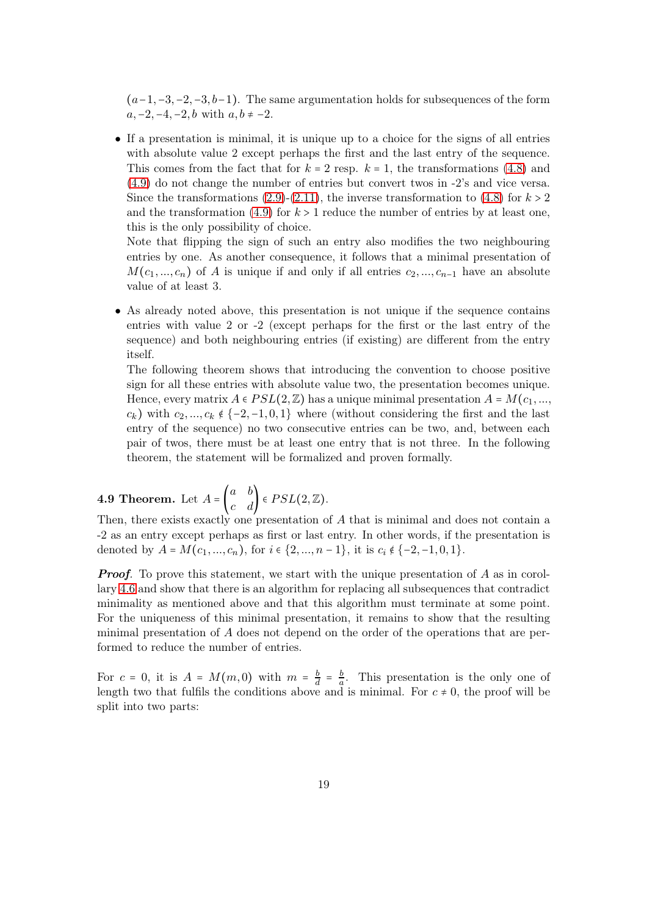$(a-1,-3,-2,-3,b-1)$ . The same argumentation holds for subsequences of the form  $a, -2, -4, -2, b$  with  $a, b ≠ -2$ .

• If a presentation is minimal, it is unique up to a choice for the signs of all entries with absolute value 2 except perhaps the first and the last entry of the sequence. This comes from the fact that for  $k = 2$  resp.  $k = 1$ , the transformations [\(4.8\)](#page-14-4) and [\(4.9\)](#page-14-3) do not change the number of entries but convert twos in -2's and vice versa. Since the transformations [\(2.9\)](#page-4-2)-[\(2.11\)](#page-4-0), the inverse transformation to [\(4.8\)](#page-14-4) for  $k > 2$ and the transformation [\(4.9\)](#page-14-3) for  $k > 1$  reduce the number of entries by at least one, this is the only possibility of choice.

Note that flipping the sign of such an entry also modifies the two neighbouring entries by one. As another consequence, it follows that a minimal presentation of  $M(c_1, ..., c_n)$  of A is unique if and only if all entries  $c_2, ..., c_{n-1}$  have an absolute value of at least 3.

• As already noted above, this presentation is not unique if the sequence contains entries with value 2 or -2 (except perhaps for the first or the last entry of the sequence) and both neighbouring entries (if existing) are different from the entry itself.

The following theorem shows that introducing the convention to choose positive sign for all these entries with absolute value two, the presentation becomes unique. Hence, every matrix  $A \in PSL(2, \mathbb{Z})$  has a unique minimal presentation  $A = M(c_1, ...,$  $c_k$ ) with  $c_2, ..., c_k \notin \{-2, -1, 0, 1\}$  where (without considering the first and the last entry of the sequence) no two consecutive entries can be two, and, between each pair of twos, there must be at least one entry that is not three. In the following theorem, the statement will be formalized and proven formally.

# <span id="page-18-0"></span>**4.9 Theorem.** Let  $A = \begin{pmatrix} a & b \\ c & d \end{pmatrix} \in PSL(2, \mathbb{Z})$ .

Then, there exists exactly one presentation of A that is minimal and does not contain a -2 as an entry except perhaps as first or last entry. In other words, if the presentation is denoted by  $A = M(c_1, ..., c_n)$ , for  $i \in \{2, ..., n-1\}$ , it is  $c_i \notin \{-2, -1, 0, 1\}$ .

**Proof.** To prove this statement, we start with the unique presentation of A as in corollary [4.6](#page-15-0) and show that there is an algorithm for replacing all subsequences that contradict minimality as mentioned above and that this algorithm must terminate at some point. For the uniqueness of this minimal presentation, it remains to show that the resulting minimal presentation of A does not depend on the order of the operations that are performed to reduce the number of entries.

For  $c = 0$ , it is  $A = M(m, 0)$  with  $m = \frac{b}{d}$  $rac{b}{d} = \frac{b}{a}$  $\frac{b}{a}$ . This presentation is the only one of length two that fulfils the conditions above and is minimal. For  $c \neq 0$ , the proof will be split into two parts: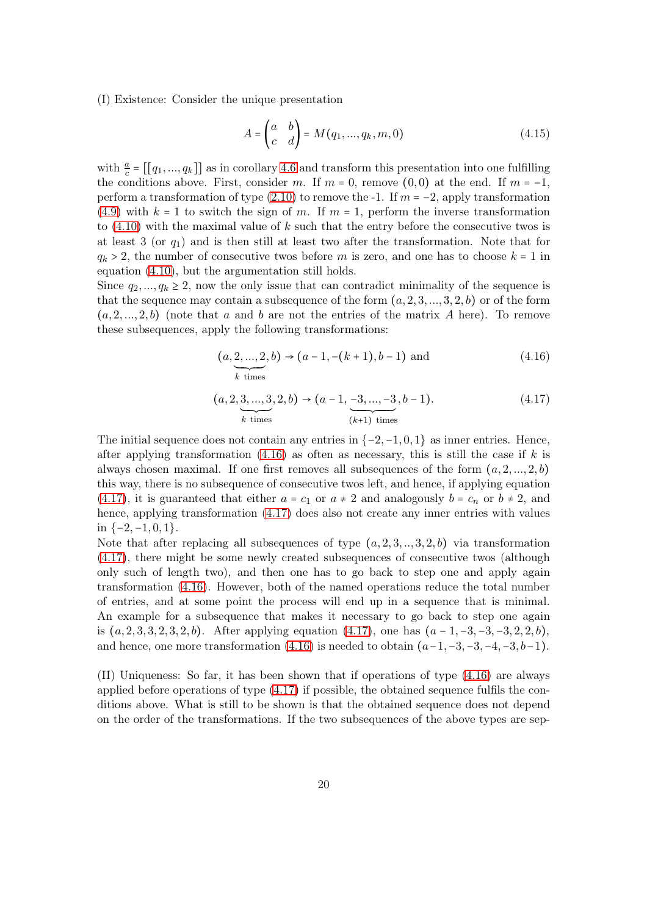(I) Existence: Consider the unique presentation

$$
A = \begin{pmatrix} a & b \\ c & d \end{pmatrix} = M(q_1, \dots, q_k, m, 0) \tag{4.15}
$$

with  $\frac{a}{c} = [[q_1, ..., q_k]]$  as in corollary [4.6](#page-15-0) and transform this presentation into one fulfilling the conditions above. First, consider m. If  $m = 0$ , remove  $(0, 0)$  at the end. If  $m = -1$ , perform a transformation of type [\(2.10\)](#page-4-1) to remove the -1. If  $m = -2$ , apply transformation [\(4.9\)](#page-14-3) with  $k = 1$  to switch the sign of m. If  $m = 1$ , perform the inverse transformation to  $(4.10)$  with the maximal value of k such that the entry before the consecutive twos is at least 3 (or  $q_1$ ) and is then still at least two after the transformation. Note that for  $q_k > 2$ , the number of consecutive twos before m is zero, and one has to choose  $k = 1$  in equation [\(4.10\)](#page-14-1), but the argumentation still holds.

Since  $q_2, ..., q_k \geq 2$ , now the only issue that can contradict minimality of the sequence is that the sequence may contain a subsequence of the form  $(a, 2, 3, ..., 3, 2, b)$  or of the form  $(a, 2, \ldots, 2, b)$  (note that a and b are not the entries of the matrix A here). To remove these subsequences, apply the following transformations:

<span id="page-19-0"></span>
$$
(a, \underbrace{2, ..., 2}_{k \text{ times}}, b) \to (a - 1, -(k + 1), b - 1) \text{ and } (4.16)
$$

<span id="page-19-1"></span>
$$
(a, 2, \underbrace{3, ..., 3}_{k \text{ times}}, 2, b) \rightarrow (a - 1, \underbrace{-3, ..., -3}_{(k+1) \text{ times}}, b - 1).
$$
\n
$$
(4.17)
$$

The initial sequence does not contain any entries in  $\{-2, -1, 0, 1\}$  as inner entries. Hence, after applying transformation  $(4.16)$  as often as necessary, this is still the case if k is always chosen maximal. If one first removes all subsequences of the form  $(a, 2, ..., 2, b)$ this way, there is no subsequence of consecutive twos left, and hence, if applying equation [\(4.17\)](#page-19-1), it is guaranteed that either  $a = c_1$  or  $a \neq 2$  and analogously  $b = c_n$  or  $b \neq 2$ , and hence, applying transformation  $(4.17)$  does also not create any inner entries with values in  $\{-2, -1, 0, 1\}$ .

Note that after replacing all subsequences of type  $(a, 2, 3, \ldots, 3, 2, b)$  via transformation [\(4.17\)](#page-19-1), there might be some newly created subsequences of consecutive twos (although only such of length two), and then one has to go back to step one and apply again transformation [\(4.16\)](#page-19-0). However, both of the named operations reduce the total number of entries, and at some point the process will end up in a sequence that is minimal. An example for a subsequence that makes it necessary to go back to step one again is  $(a, 2, 3, 3, 2, 3, 2, b)$ . After applying equation  $(4.17)$ , one has  $(a - 1, -3, -3, -3, 2, 2, b)$ , and hence, one more transformation  $(4.16)$  is needed to obtain  $(a-1,-3,-3,-4,-3,b-1)$ .

(II) Uniqueness: So far, it has been shown that if operations of type [\(4.16\)](#page-19-0) are always applied before operations of type [\(4.17\)](#page-19-1) if possible, the obtained sequence fulfils the conditions above. What is still to be shown is that the obtained sequence does not depend on the order of the transformations. If the two subsequences of the above types are sep-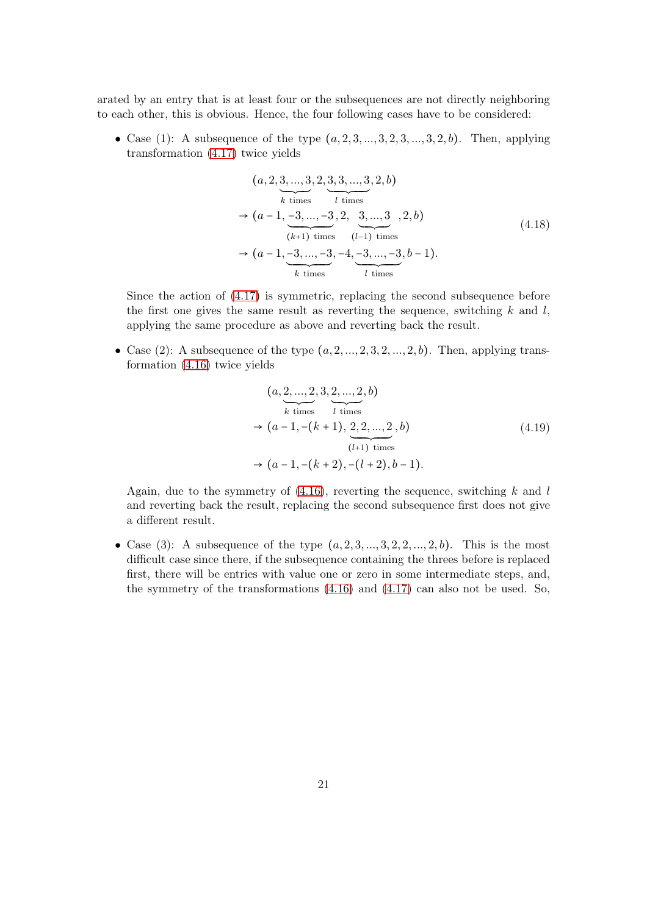arated by an entry that is at least four or the subsequences are not directly neighboring to each other, this is obvious. Hence, the four following cases have to be considered:

• Case (1): A subsequence of the type  $(a, 2, 3, ..., 3, 2, 3, ..., 3, 2, b)$ . Then, applying transformation [\(4.17\)](#page-19-1) twice yields

$$
(a, 2, \underbrace{3, \ldots, 3}_{k \text{ times}}, 2, \underbrace{3, 3, \ldots, 3}_{l \text{ times}}, 2, b)
$$
\n
$$
\rightarrow (a - 1, \underbrace{-3, \ldots, -3}_{(k+1) \text{ times}}, 2, \underbrace{3, \ldots, 3}_{(l-1) \text{ times}}, 2, b)
$$
\n
$$
(4.18)
$$
\n
$$
\rightarrow (a - 1, \underbrace{-3, \ldots, -3}_{k \text{ times}}, -4, \underbrace{-3, \ldots, -3}_{l \text{ times}}, b - 1).
$$

Since the action of [\(4.17\)](#page-19-1) is symmetric, replacing the second subsequence before the first one gives the same result as reverting the sequence, switching  $k$  and  $l$ , applying the same procedure as above and reverting back the result.

• Case (2): A subsequence of the type  $(a, 2, \ldots, 2, 3, 2, \ldots, 2, b)$ . Then, applying transformation [\(4.16\)](#page-19-0) twice yields

$$
(a, \underbrace{2, ..., 2}_{k \text{ times}}, 3, \underbrace{2, ..., 2}_{l \text{ times}}, b)
$$
  
\n
$$
\rightarrow (a - 1, -(k + 1), \underbrace{2, 2, ..., 2}_{(l+1) \text{ times}}, b)
$$
  
\n
$$
\rightarrow (a - 1, -(k + 2), -(l + 2), b - 1).
$$
 (4.19)

Again, due to the symmetry of  $(4.16)$ , reverting the sequence, switching k and l and reverting back the result, replacing the second subsequence first does not give a different result.

• Case (3): A subsequence of the type  $(a, 2, 3, \ldots, 3, 2, 2, \ldots, 2, b)$ . This is the most difficult case since there, if the subsequence containing the threes before is replaced first, there will be entries with value one or zero in some intermediate steps, and, the symmetry of the transformations [\(4.16\)](#page-19-0) and [\(4.17\)](#page-19-1) can also not be used. So,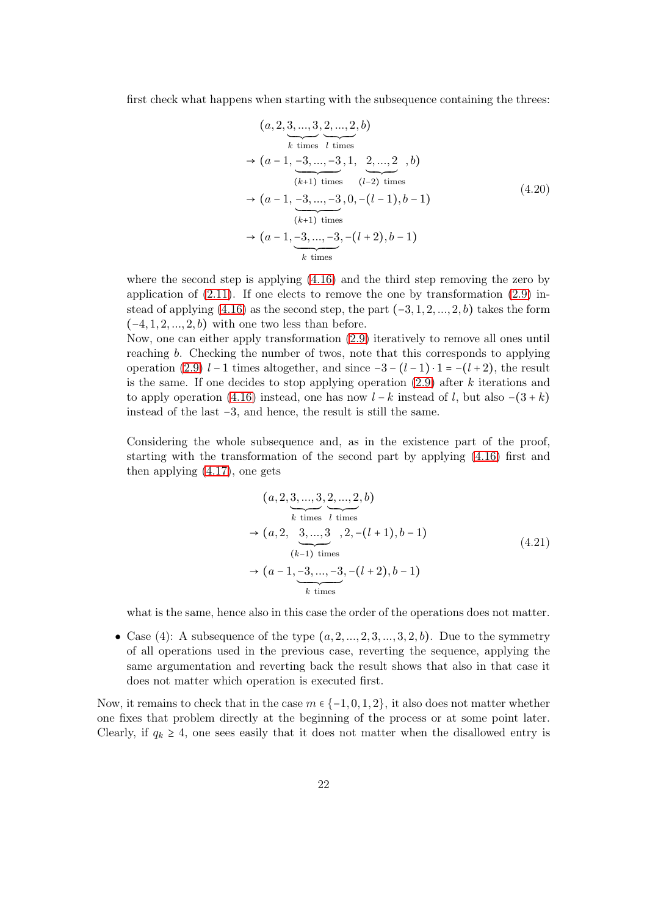first check what happens when starting with the subsequence containing the threes:

<span id="page-21-0"></span>
$$
(a, 2, \underbrace{3, ..., 3}_{k \text{ times}}, \underbrace{2, ..., 2}_{l \text{ times}}, b)
$$
  
\n
$$
\rightarrow (a - 1, \underbrace{-3, ..., -3}_{(k+1) \text{ times}}, 1, \underbrace{2, ..., 2}_{(l-2) \text{ times}}, b)
$$
  
\n
$$
\rightarrow (a - 1, \underbrace{-3, ..., -3}_{(k+1) \text{ times}}, 0, -(l-1), b-1)
$$
  
\n
$$
\rightarrow (a - 1, \underbrace{-3, ..., -3}_{k \text{ times}}, -(l+2), b-1)
$$
  
\n*k* times (4.20)

where the second step is applying [\(4.16\)](#page-19-0) and the third step removing the zero by application of  $(2.11)$ . If one elects to remove the one by transformation  $(2.9)$  instead of applying  $(4.16)$  as the second step, the part  $(-3, 1, 2, ..., 2, b)$  takes the form  $(-4, 1, 2, \ldots, 2, b)$  with one two less than before.

Now, one can either apply transformation [\(2.9\)](#page-4-2) iteratively to remove all ones until reaching b. Checking the number of twos, note that this corresponds to applying operation [\(2.9\)](#page-4-2)  $l-1$  times altogether, and since  $-3-(l-1)\cdot 1=-(l+2)$ , the result is the same. If one decides to stop applying operation  $(2.9)$  after k iterations and to apply operation [\(4.16\)](#page-19-0) instead, one has now  $l - k$  instead of l, but also  $-(3 + k)$ instead of the last −3, and hence, the result is still the same.

Considering the whole subsequence and, as in the existence part of the proof, starting with the transformation of the second part by applying [\(4.16\)](#page-19-0) first and then applying [\(4.17\)](#page-19-1), one gets

$$
(a, 2, \underbrace{3, ..., 3}_{k \text{ times}}, \underbrace{2, ..., 2}_{l \text{ times}}, b)
$$
  
\n
$$
\rightarrow (a, 2, \underbrace{3, ..., 3}_{(k-1) \text{ times}}, 2, -(l+1), b-1)
$$
  
\n
$$
\rightarrow (a-1, \underbrace{-3, ..., -3}_{k \text{ times}}, -(l+2), b-1)
$$
  
\n(4.21)

what is the same, hence also in this case the order of the operations does not matter.

• Case (4): A subsequence of the type  $(a, 2, ..., 2, 3, ..., 3, 2, b)$ . Due to the symmetry of all operations used in the previous case, reverting the sequence, applying the same argumentation and reverting back the result shows that also in that case it does not matter which operation is executed first.

Now, it remains to check that in the case  $m \in \{-1, 0, 1, 2\}$ , it also does not matter whether one fixes that problem directly at the beginning of the process or at some point later. Clearly, if  $q_k \geq 4$ , one sees easily that it does not matter when the disallowed entry is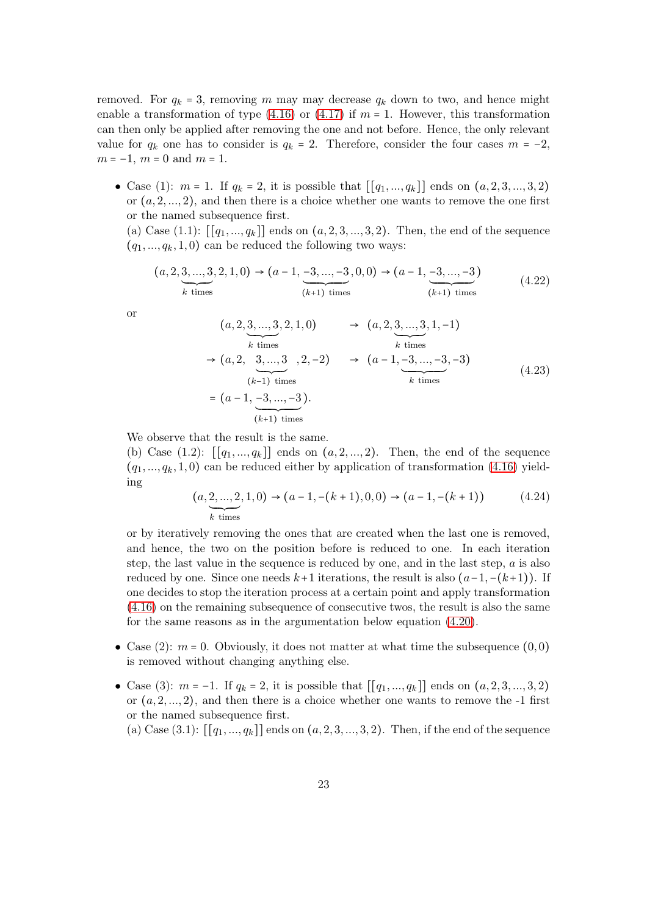removed. For  $q_k = 3$ , removing m may may decrease  $q_k$  down to two, and hence might enable a transformation of type  $(4.16)$  or  $(4.17)$  if  $m = 1$ . However, this transformation can then only be applied after removing the one and not before. Hence, the only relevant value for  $q_k$  one has to consider is  $q_k = 2$ . Therefore, consider the four cases  $m = -2$ ,  $m = -1$ ,  $m = 0$  and  $m = 1$ .

• Case (1):  $m = 1$ . If  $q_k = 2$ , it is possible that  $[[q_1, ..., q_k]]$  ends on  $(a, 2, 3, ..., 3, 2)$ or  $(a, 2, \ldots, 2)$ , and then there is a choice whether one wants to remove the one first or the named subsequence first.

(a) Case  $(1.1)$ :  $[[q_1, ..., q_k]]$  ends on  $(a, 2, 3, ..., 3, 2)$ . Then, the end of the sequence  $(q_1, ..., q_k, 1, 0)$  can be reduced the following two ways:

$$
(a, 2, \underbrace{3, \dots, 3}_{k \text{ times}}, 2, 1, 0) \rightarrow (a - 1, \underbrace{-3, \dots, -3}_{(k+1) \text{ times}}, 0, 0) \rightarrow (a - 1, \underbrace{-3, \dots, -3}_{(k+1) \text{ times}})
$$
(4.22)

or

$$
(a, 2, 3, ..., 3, 2, 1, 0) \rightarrow (a, 2, 3, ..., 3, 1, -1)
$$
  
\n
$$
\rightarrow (a, 2, 3, ..., 3, 2, -2) \rightarrow (a - 1, -3, ..., -3, -3)
$$
  
\n
$$
= (a - 1, -3, ..., -3).
$$
  
\n
$$
(k+1) times
$$
  
\n
$$
(k+1) times
$$
  
\n
$$
(k+1) times
$$
  
\n
$$
(k+1) times
$$
  
\n
$$
(k+2) times
$$
  
\n
$$
(4.23)
$$

We observe that the result is the same.

(b) Case  $(1.2)$ :  $[[q_1, ..., q_k]]$  ends on  $(a, 2, ..., 2)$ . Then, the end of the sequence  $(q_1, ..., q_k, 1, 0)$  can be reduced either by application of transformation [\(4.16\)](#page-19-0) yielding

$$
(a, \underbrace{2, \ldots, 2}_{k \text{ times}}, 1, 0) \rightarrow (a - 1, -(k + 1), 0, 0) \rightarrow (a - 1, -(k + 1))
$$
 (4.24)

or by iteratively removing the ones that are created when the last one is removed, and hence, the two on the position before is reduced to one. In each iteration step, the last value in the sequence is reduced by one, and in the last step,  $a$  is also reduced by one. Since one needs  $k+1$  iterations, the result is also  $(a-1,-(k+1))$ . If one decides to stop the iteration process at a certain point and apply transformation [\(4.16\)](#page-19-0) on the remaining subsequence of consecutive twos, the result is also the same for the same reasons as in the argumentation below equation [\(4.20\)](#page-21-0).

- Case (2):  $m = 0$ . Obviously, it does not matter at what time the subsequence  $(0,0)$ is removed without changing anything else.
- Case (3):  $m = -1$ . If  $q_k = 2$ , it is possible that  $[[q_1, ..., q_k]]$  ends on  $(a, 2, 3, ..., 3, 2)$ or  $(a, 2, \ldots, 2)$ , and then there is a choice whether one wants to remove the -1 first or the named subsequence first.

(a) Case (3.1):  $[[q_1, ..., q_k]]$  ends on  $(a, 2, 3, ..., 3, 2)$ . Then, if the end of the sequence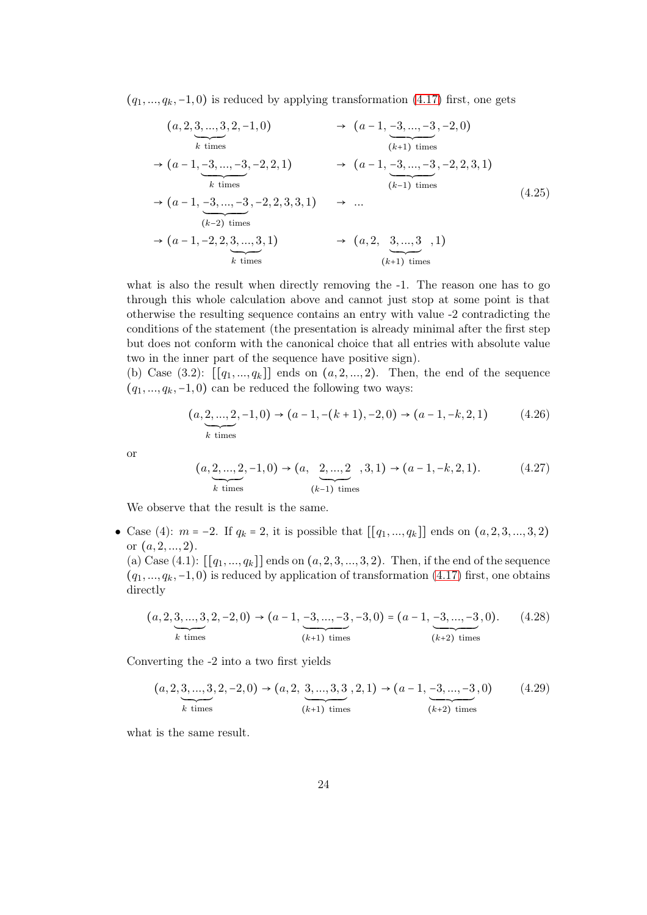$(q_1, ..., q_k, -1, 0)$  is reduced by applying transformation [\(4.17\)](#page-19-1) first, one gets

$$
(a, 2, 3, ..., 3, 2, -1, 0) \rightarrow (a - 1, -3, ..., -3, -2, 0)
$$
  
\n
$$
(a - 1, -3, ..., -3, -2, 2, 1) \rightarrow (a - 1, -3, ..., -3, -2, 2, 3, 1)
$$
  
\n
$$
(a - 1, -3, ..., -3, -2, 2, 3, 3, 1) \rightarrow (a - 1, -3, ..., -3, -2, 2, 3, 1)
$$
  
\n
$$
(a - 1, -3, ..., -3, -2, 2, 3, 3, 1) \rightarrow ...
$$
  
\n
$$
(a - 1, -2, 2, 3, ..., 3, 1) \rightarrow (a, 2, 3, ..., 3, 1)
$$
  
\n
$$
(a + 1) \text{ times}
$$
  
\n
$$
(a + 1) \text{ times}
$$
  
\n
$$
(a + 1) \text{ times}
$$
  
\n
$$
(a + 1) \text{ times}
$$
  
\n
$$
(a + 1) \text{ times}
$$
  
\n
$$
(a + 1) \text{ times}
$$
  
\n
$$
(a + 1) \text{ times}
$$
  
\n
$$
(a + 1) \text{ times}
$$
  
\n
$$
(a + 1) \text{ times}
$$
  
\n
$$
(a + 1) \text{ times}
$$
  
\n
$$
(a + 1) \text{ times}
$$
  
\n
$$
(a + 1) \text{ times}
$$
  
\n
$$
(a + 1) \text{ times}
$$
  
\n
$$
(a + 1) \text{ times}
$$
  
\n
$$
(a + 1) \text{ times}
$$
  
\n
$$
(a + 1) \text{ times}
$$
  
\n
$$
(a + 1) \text{ times}
$$
  
\n
$$
(a + 1) \text{ times}
$$
  
\n
$$
(a + 1) \text{ times}
$$
  
\n
$$
(a + 1) \text{ times}
$$
  
\n
$$
(a + 1) \text{ times}
$$
  
\n
$$
(a + 1) \text{ times}
$$
  
\n
$$
(a + 1) \text{ times}
$$
  
\n
$$
(a + 1) \text
$$

what is also the result when directly removing the -1. The reason one has to go through this whole calculation above and cannot just stop at some point is that otherwise the resulting sequence contains an entry with value -2 contradicting the conditions of the statement (the presentation is already minimal after the first step but does not conform with the canonical choice that all entries with absolute value two in the inner part of the sequence have positive sign).

(b) Case  $(3.2)$ :  $[[q_1, ..., q_k]]$  ends on  $(a, 2, ..., 2)$ . Then, the end of the sequence  $(q_1, ..., q_k, -1, 0)$  can be reduced the following two ways:

$$
(a, \underbrace{2, \dots, 2}_{k \text{ times}}, -1, 0) \rightarrow (a-1, -(k+1), -2, 0) \rightarrow (a-1, -k, 2, 1) \tag{4.26}
$$

or

$$
(a, \underbrace{2, \dots, 2}_{k \text{ times}}, -1, 0) \rightarrow (a, \underbrace{2, \dots, 2}_{(k-1) \text{ times}}, 3, 1) \rightarrow (a-1, -k, 2, 1). \tag{4.27}
$$

We observe that the result is the same.

• Case (4):  $m = -2$ . If  $q_k = 2$ , it is possible that  $[[q_1, ..., q_k]]$  ends on  $(a, 2, 3, ..., 3, 2)$ or  $(a, 2, \ldots, 2)$ .

(a) Case (4.1):  $[[q_1, ..., q_k]]$  ends on  $(a, 2, 3, ..., 3, 2)$ . Then, if the end of the sequence  $(q_1, ..., q_k, -1, 0)$  is reduced by application of transformation [\(4.17\)](#page-19-1) first, one obtains directly

$$
(a, 2, \underbrace{3, \dots, 3}_{k \text{ times}}, 2, -2, 0) \rightarrow (a - 1, \underbrace{-3, \dots, -3}_{(k+1) \text{ times}}, -3, 0) = (a - 1, \underbrace{-3, \dots, -3}_{(k+2) \text{ times}}, 0). \tag{4.28}
$$

Converting the -2 into a two first yields

$$
(a, 2, \underbrace{3, \ldots, 3}_{k \text{ times}}, 2, -2, 0) \rightarrow (a, 2, \underbrace{3, \ldots, 3, 3}_{(k+1) \text{ times}}, 2, 1) \rightarrow (a-1, \underbrace{-3, \ldots, -3}_{(k+2) \text{ times}}, 0)
$$
(4.29)

what is the same result.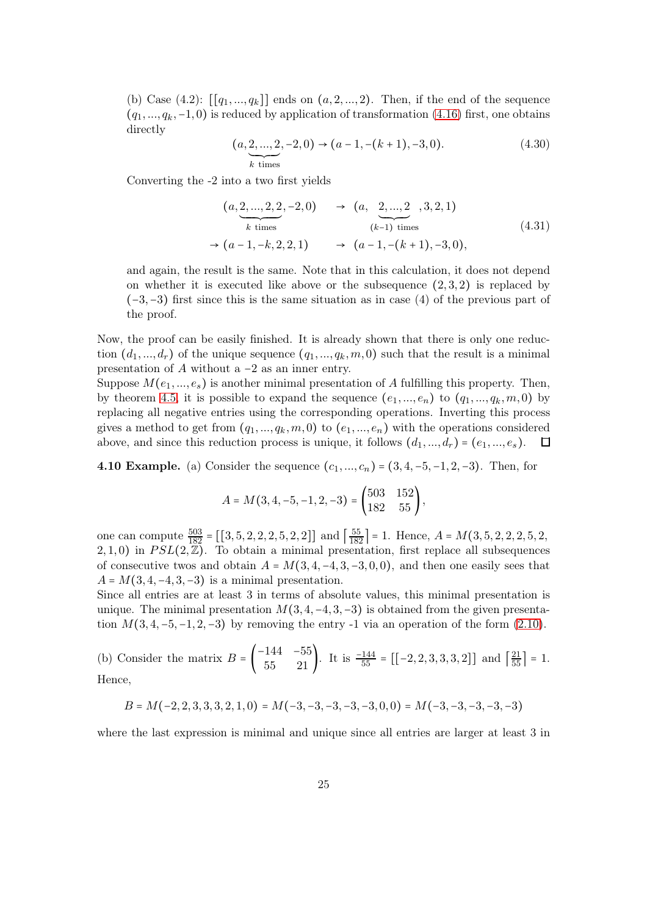(b) Case  $(4.2)$ :  $[[q_1, ..., q_k]]$  ends on  $(a, 2, ..., 2)$ . Then, if the end of the sequence  $(q_1, ..., q_k, -1, 0)$  is reduced by application of transformation [\(4.16\)](#page-19-0) first, one obtains directly

$$
(a, \underbrace{2, \dots, 2}_{k \text{ times}}, -2, 0) \rightarrow (a - 1, -(k + 1), -3, 0). \tag{4.30}
$$

Converting the -2 into a two first yields

$$
(a, \underbrace{2, ..., 2, 2}_{k \text{ times}}, -2, 0) \rightarrow (a, \underbrace{2, ..., 2}_{(k-1) \text{ times}}, 3, 2, 1)
$$
  
\n
$$
\rightarrow (a - 1, -k, 2, 2, 1) \rightarrow (a - 1, -(k+1), -3, 0),
$$
\n(4.31)

and again, the result is the same. Note that in this calculation, it does not depend on whether it is executed like above or the subsequence  $(2, 3, 2)$  is replaced by (−3,−3) first since this is the same situation as in case (4) of the previous part of the proof.

Now, the proof can be easily finished. It is already shown that there is only one reduction  $(d_1, ..., d_r)$  of the unique sequence  $(q_1, ..., q_k, m, 0)$  such that the result is a minimal presentation of A without a  $-2$  as an inner entry.

Suppose  $M(e_1, ..., e_s)$  is another minimal presentation of A fulfilling this property. Then, by theorem [4.5,](#page-14-2) it is possible to expand the sequence  $(e_1, ..., e_n)$  to  $(q_1, ..., q_k, m, 0)$  by replacing all negative entries using the corresponding operations. Inverting this process gives a method to get from  $(q_1, ..., q_k, m, 0)$  to  $(e_1, ..., e_n)$  with the operations considered above, and since this reduction process is unique, it follows  $(d_1, ..., d_r) = (e_1, ..., e_s)$ .  $\Box$ 

4.10 Example. (a) Consider the sequence  $(c_1, ..., c_n) = (3, 4, -5, -1, 2, -3)$ . Then, for

$$
A = M(3, 4, -5, -1, 2, -3) = \begin{pmatrix} 503 & 152 \\ 182 & 55 \end{pmatrix},
$$

one can compute  $\frac{503}{182} = [[3, 5, 2, 2, 2, 5, 2, 2]]$  and  $\left[\frac{55}{182}\right] = 1$ . Hence,  $A = M(3, 5, 2, 2, 2, 5, 2, 3)$  $2, 1, 0$ ) in  $PSL(2, \mathbb{Z})$ . To obtain a minimal presentation, first replace all subsequences of consecutive twos and obtain  $A = M(3, 4, -4, 3, -3, 0, 0)$ , and then one easily sees that  $A = M(3, 4, -4, 3, -3)$  is a minimal presentation.

Since all entries are at least 3 in terms of absolute values, this minimal presentation is unique. The minimal presentation  $M(3, 4, -4, 3, -3)$  is obtained from the given presentation  $M(3, 4, -5, -1, 2, -3)$  by removing the entry -1 via an operation of the form  $(2.10)$ .

(b) Consider the matrix 
$$
B = \begin{pmatrix} -144 & -55 \ 55 & 21 \end{pmatrix}
$$
. It is  $\frac{-144}{55} = [[-2, 2, 3, 3, 3, 2]]$  and  $\left[\frac{21}{55}\right] = 1$ .  
Hence,

 $B = M(-2, 2, 3, 3, 3, 2, 1, 0) = M(-3, -3, -3, -3, -3, 0, 0) = M(-3, -3, -3, -3, -3)$ 

where the last expression is minimal and unique since all entries are larger at least 3 in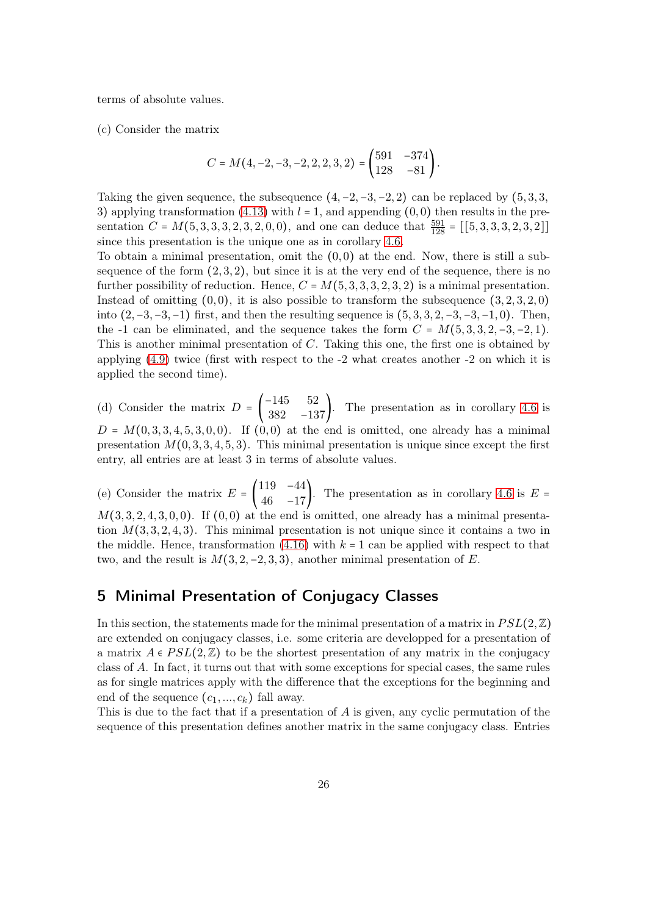terms of absolute values.

(c) Consider the matrix

$$
C=M(4,-2,-3,-2,2,2,3,2)=\begin{pmatrix} 591 & -374 \\ 128 & -81 \end{pmatrix}.
$$

Taking the given sequence, the subsequence  $(4, -2, -3, -2, 2)$  can be replaced by  $(5, 3, 3, 3)$ 3) applying transformation [\(4.13\)](#page-16-1) with  $l = 1$ , and appending (0,0) then results in the presentation  $C = M(5, 3, 3, 3, 2, 3, 2, 0, 0)$ , and one can deduce that  $\frac{591}{128} = [[5, 3, 3, 3, 2, 3, 2]]$ since this presentation is the unique one as in corollary [4.6.](#page-15-0)

To obtain a minimal presentation, omit the  $(0, 0)$  at the end. Now, there is still a subsequence of the form  $(2, 3, 2)$ , but since it is at the very end of the sequence, there is no further possibility of reduction. Hence,  $C = M(5, 3, 3, 3, 2, 3, 2)$  is a minimal presentation. Instead of omitting  $(0, 0)$ , it is also possible to transform the subsequence  $(3, 2, 3, 2, 0)$ into  $(2, -3, -3, -1)$  first, and then the resulting sequence is  $(5, 3, 3, 2, -3, -3, -1, 0)$ . Then, the -1 can be eliminated, and the sequence takes the form  $C = M(5, 3, 3, 2, -3, -2, 1)$ . This is another minimal presentation of C. Taking this one, the first one is obtained by applying  $(4.9)$  twice (first with respect to the  $-2$  what creates another  $-2$  on which it is applied the second time).

(d) Consider the matrix  $D = \begin{bmatrix} 1 & 0 \\ 0 & 1 \end{bmatrix}$ −145 52  $\begin{bmatrix} 115 & 02 \\ 382 & -137 \end{bmatrix}$ . The presentation as in corollary [4.6](#page-15-0) is  $D = M(0, 3, 3, 4, 5, 3, 0, 0)$ . If  $(0, 0)$  at the end is omitted, one already has a minimal presentation  $M(0, 3, 3, 4, 5, 3)$ . This minimal presentation is unique since except the first entry, all entries are at least 3 in terms of absolute values.

(e) Consider the matrix  $E = \begin{bmatrix} \end{bmatrix}$ 119 −44  $\begin{pmatrix} 115 & -17 \\ 46 & -17 \end{pmatrix}$ . The presentation as in corollary [4.6](#page-15-0) is  $E =$  $M(3, 3, 2, 4, 3, 0, 0)$ . If  $(0, 0)$  at the end is omitted, one already has a minimal presentation  $M(3, 3, 2, 4, 3)$ . This minimal presentation is not unique since it contains a two in the middle. Hence, transformation  $(4.16)$  with  $k = 1$  can be applied with respect to that two, and the result is  $M(3, 2, -2, 3, 3)$ , another minimal presentation of E.

# <span id="page-25-0"></span>5 Minimal Presentation of Conjugacy Classes

In this section, the statements made for the minimal presentation of a matrix in  $PSL(2,\mathbb{Z})$ are extended on conjugacy classes, i.e. some criteria are developped for a presentation of a matrix  $A \in PSL(2,\mathbb{Z})$  to be the shortest presentation of any matrix in the conjugacy class of A. In fact, it turns out that with some exceptions for special cases, the same rules as for single matrices apply with the difference that the exceptions for the beginning and end of the sequence  $(c_1, ..., c_k)$  fall away.

This is due to the fact that if a presentation of A is given, any cyclic permutation of the sequence of this presentation defines another matrix in the same conjugacy class. Entries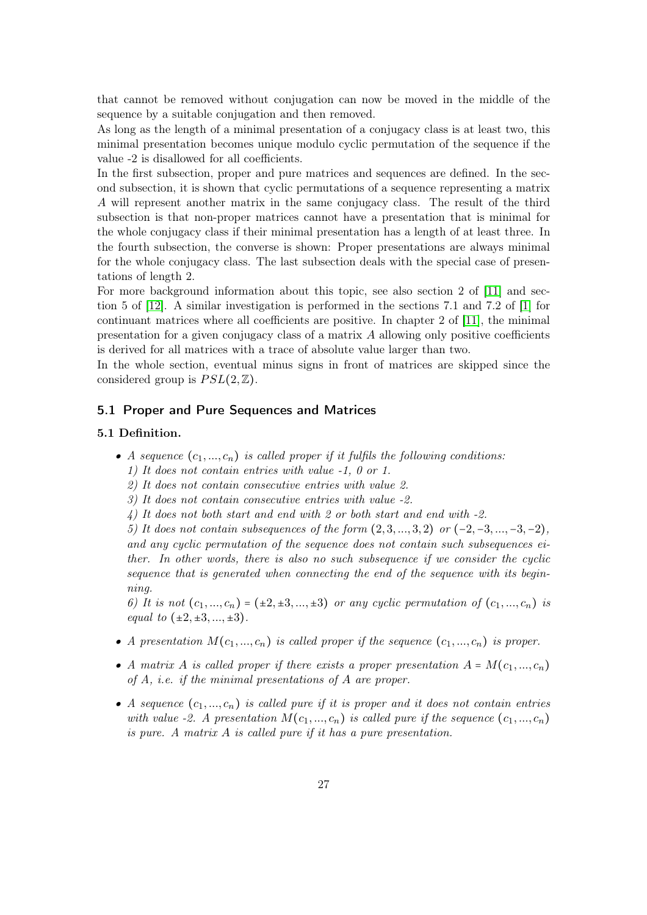that cannot be removed without conjugation can now be moved in the middle of the sequence by a suitable conjugation and then removed.

As long as the length of a minimal presentation of a conjugacy class is at least two, this minimal presentation becomes unique modulo cyclic permutation of the sequence if the value -2 is disallowed for all coefficients.

In the first subsection, proper and pure matrices and sequences are defined. In the second subsection, it is shown that cyclic permutations of a sequence representing a matrix A will represent another matrix in the same conjugacy class. The result of the third subsection is that non-proper matrices cannot have a presentation that is minimal for the whole conjugacy class if their minimal presentation has a length of at least three. In the fourth subsection, the converse is shown: Proper presentations are always minimal for the whole conjugacy class. The last subsection deals with the special case of presentations of length 2.

For more background information about this topic, see also section 2 of [\[11\]](#page-39-3) and section 5 of [\[12\]](#page-39-4). A similar investigation is performed in the sections 7.1 and 7.2 of [\[1\]](#page-38-0) for continuant matrices where all coefficients are positive. In chapter 2 of [\[11\]](#page-39-3), the minimal presentation for a given conjugacy class of a matrix A allowing only positive coefficients is derived for all matrices with a trace of absolute value larger than two.

In the whole section, eventual minus signs in front of matrices are skipped since the considered group is  $PSL(2,\mathbb{Z})$ .

#### <span id="page-26-0"></span>5.1 Proper and Pure Sequences and Matrices

#### <span id="page-26-1"></span>5.1 Definition.

- A sequence  $(c_1, ..., c_n)$  is called proper if it fulfils the following conditions:
	- 1) It does not contain entries with value -1, 0 or 1.
	- 2) It does not contain consecutive entries with value 2.
	- 3) It does not contain consecutive entries with value -2.
	- 4) It does not both start and end with 2 or both start and end with -2.

5) It does not contain subsequences of the form  $(2, 3, ..., 3, 2)$  or  $(-2, -3, ..., -3, -2)$ , and any cyclic permutation of the sequence does not contain such subsequences either. In other words, there is also no such subsequence if we consider the cyclic sequence that is generated when connecting the end of the sequence with its beginning.

6) It is not  $(c_1, ..., c_n) = (\pm 2, \pm 3, ..., \pm 3)$  or any cyclic permutation of  $(c_1, ..., c_n)$  is equal to  $(\pm 2, \pm 3, ..., \pm 3)$ .

- A presentation  $M(c_1, ..., c_n)$  is called proper if the sequence  $(c_1, ..., c_n)$  is proper.
- A matrix A is called proper if there exists a proper presentation  $A = M(c_1, ..., c_n)$ of A, i.e. if the minimal presentations of A are proper.
- A sequence  $(c_1, ..., c_n)$  is called pure if it is proper and it does not contain entries with value -2. A presentation  $M(c_1, ..., c_n)$  is called pure if the sequence  $(c_1, ..., c_n)$ is pure. A matrix A is called pure if it has a pure presentation.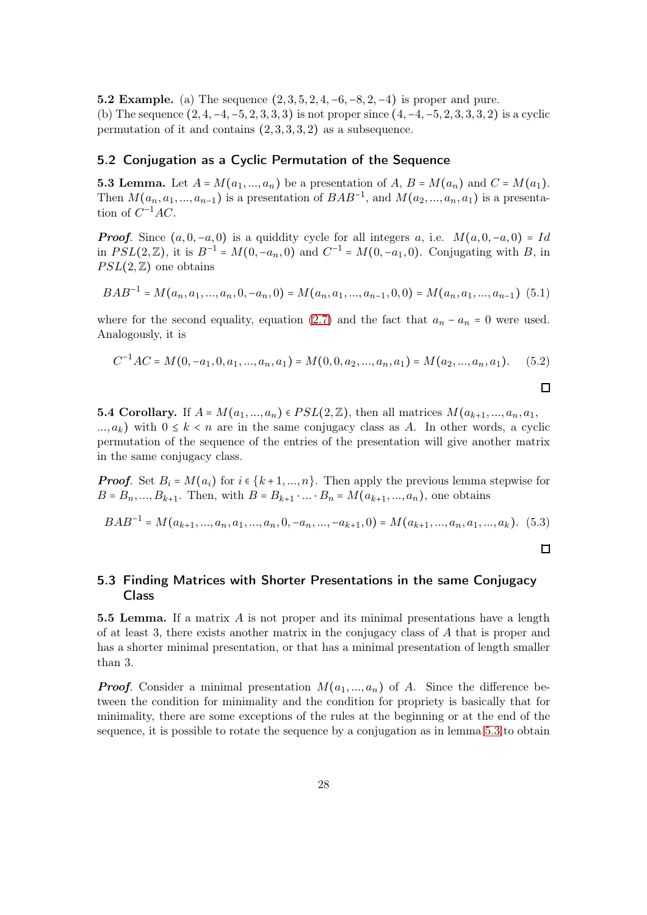**5.2 Example.** (a) The sequence  $(2, 3, 5, 2, 4, -6, -8, 2, -4)$  is proper and pure. (b) The sequence  $(2, 4, -4, -5, 2, 3, 3, 3)$  is not proper since  $(4, -4, -5, 2, 3, 3, 3, 2)$  is a cyclic permutation of it and contains  $(2, 3, 3, 3, 2)$  as a subsequence.

#### <span id="page-27-0"></span>5.2 Conjugation as a Cyclic Permutation of the Sequence

<span id="page-27-2"></span>**5.3 Lemma.** Let  $A = M(a_1, ..., a_n)$  be a presentation of  $A, B = M(a_n)$  and  $C = M(a_1)$ . Then  $M(a_n, a_1, ..., a_{n-1})$  is a presentation of  $BAB^{-1}$ , and  $M(a_2, ..., a_n, a_1)$  is a presentation of  $C^{-1}AC$ .

**Proof.** Since  $(a, 0, -a, 0)$  is a quiddity cycle for all integers a, i.e.  $M(a, 0, -a, 0) = Id$ in  $PSL(2, \mathbb{Z})$ , it is  $B^{-1} = M(0, -a_n, 0)$  and  $C^{-1} = M(0, -a_1, 0)$ . Conjugating with B, in  $PSL(2,\mathbb{Z})$  one obtains

$$
BAB^{-1}=M(a_n,a_1,...,a_n,0,-a_n,0)=M(a_n,a_1,...,a_{n-1},0,0)=M(a_n,a_1,...,a_{n-1})
$$
(5.1)

where for the second equality, equation [\(2.7\)](#page-3-1) and the fact that  $a_n - a_n = 0$  were used. Analogously, it is

$$
C^{-1}AC = M(0, -a_1, 0, a_1, ..., a_n, a_1) = M(0, 0, a_2, ..., a_n, a_1) = M(a_2, ..., a_n, a_1). \tag{5.2}
$$

**5.4 Corollary.** If  $A = M(a_1, ..., a_n) \in PSL(2, \mathbb{Z})$ , then all matrices  $M(a_{k+1}, ..., a_n, a_1, a_2)$  $..., a_k$ ) with  $0 \leq k < n$  are in the same conjugacy class as A. In other words, a cyclic permutation of the sequence of the entries of the presentation will give another matrix in the same conjugacy class.

**Proof.** Set  $B_i = M(a_i)$  for  $i \in \{k+1, ..., n\}$ . Then apply the previous lemma stepwise for  $B = B_n, ..., B_{k+1}$ . Then, with  $B = B_{k+1} \cdot ... \cdot B_n = M(a_{k+1}, ..., a_n)$ , one obtains

$$
BAB^{-1}=M(a_{k+1},...,a_n,a_1,...,a_n,0,-a_n,...,-a_{k+1},0)=M(a_{k+1},...,a_n,a_1,...,a_k). (5.3)
$$

 $\Box$ 

 $\Box$ 

#### <span id="page-27-1"></span>5.3 Finding Matrices with Shorter Presentations in the same Conjugacy Class

<span id="page-27-3"></span>5.5 Lemma. If a matrix  $\vec{A}$  is not proper and its minimal presentations have a length of at least 3, there exists another matrix in the conjugacy class of A that is proper and has a shorter minimal presentation, or that has a minimal presentation of length smaller than 3.

**Proof.** Consider a minimal presentation  $M(a_1,..., a_n)$  of A. Since the difference between the condition for minimality and the condition for propriety is basically that for minimality, there are some exceptions of the rules at the beginning or at the end of the sequence, it is possible to rotate the sequence by a conjugation as in lemma [5.3](#page-27-2) to obtain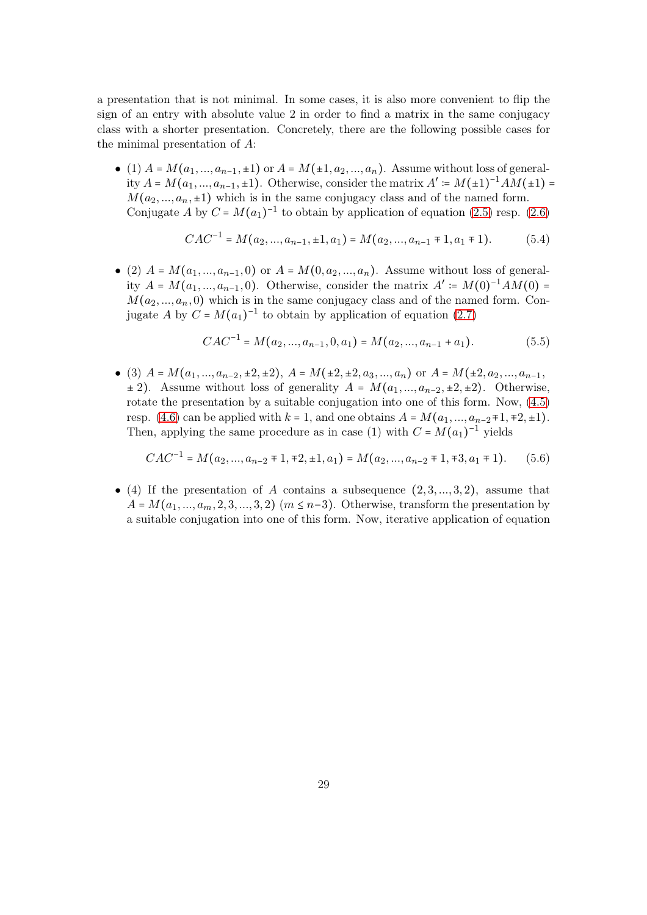a presentation that is not minimal. In some cases, it is also more convenient to flip the sign of an entry with absolute value 2 in order to find a matrix in the same conjugacy class with a shorter presentation. Concretely, there are the following possible cases for the minimal presentation of A:

• (1)  $A = M(a_1, ..., a_{n-1}, \pm 1)$  or  $A = M(\pm 1, a_2, ..., a_n)$ . Assume without loss of generality  $A = M(a_1, ..., a_{n-1}, \pm 1)$ . Otherwise, consider the matrix  $A' \coloneqq M(\pm 1)^{-1}AM(\pm 1)$  $M(a_2,..., a_n, \pm 1)$  which is in the same conjugacy class and of the named form. Conjugate A by  $C = M(a_1)^{-1}$  to obtain by application of equation [\(2.5\)](#page-3-3) resp. [\(2.6\)](#page-3-2)

$$
CAC^{-1} = M(a_2, ..., a_{n-1}, \pm 1, a_1) = M(a_2, ..., a_{n-1} \mp 1, a_1 \mp 1). \tag{5.4}
$$

• (2)  $A = M(a_1, ..., a_{n-1}, 0)$  or  $A = M(0, a_2, ..., a_n)$ . Assume without loss of generality  $A = M(a_1, ..., a_{n-1}, 0)$ . Otherwise, consider the matrix  $A' \coloneqq M(0)^{-1}AM(0)$  $M(a_2, ..., a_n, 0)$  which is in the same conjugacy class and of the named form. Conjugate A by  $C = M(a_1)^{-1}$  to obtain by application of equation [\(2.7\)](#page-3-1)

$$
CAC^{-1} = M(a_2, ..., a_{n-1}, 0, a_1) = M(a_2, ..., a_{n-1} + a_1).
$$
 (5.5)

• (3)  $A = M(a_1, ..., a_{n-2}, \pm 2, \pm 2), A = M(\pm 2, \pm 2, a_3, ..., a_n)$  or  $A = M(\pm 2, a_2, ..., a_{n-1},$  $\pm$  2). Assume without loss of generality  $A = M(a_1, ..., a_{n-2}, \pm 2, \pm 2)$ . Otherwise, rotate the presentation by a suitable conjugation into one of this form. Now, [\(4.5\)](#page-13-3) resp. [\(4.6\)](#page-13-4) can be applied with  $k = 1$ , and one obtains  $A = M(a_1, ..., a_{n-2} \pm 1, \pm 2, \pm 1)$ . Then, applying the same procedure as in case (1) with  $C = M(a_1)^{-1}$  yields

$$
CAC^{-1} = M(a_2, ..., a_{n-2} \mp 1, \mp 2, \pm 1, a_1) = M(a_2, ..., a_{n-2} \mp 1, \mp 3, a_1 \mp 1). \tag{5.6}
$$

• (4) If the presentation of A contains a subsequence  $(2, 3, ..., 3, 2)$ , assume that  $A = M(a_1, \ldots, a_m, 2, 3, \ldots, 3, 2)$   $(m \leq n-3)$ . Otherwise, transform the presentation by a suitable conjugation into one of this form. Now, iterative application of equation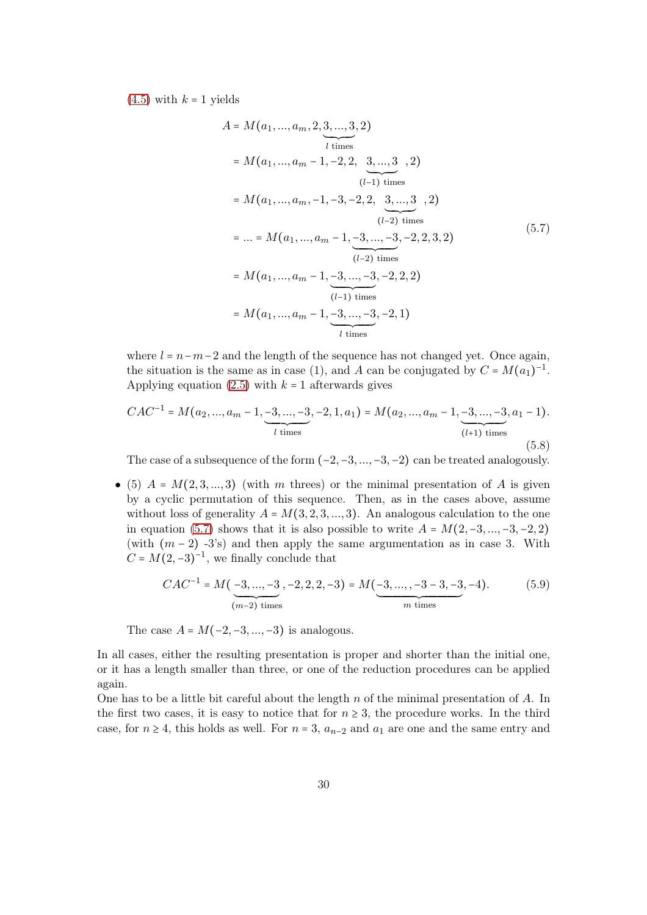$(4.5)$  with  $k = 1$  yields

<span id="page-29-0"></span>
$$
A = M(a_1, ..., a_m, 2, \underbrace{3, ..., 3}_{l \text{ times}}, 2)
$$
  
=  $M(a_1, ..., a_m - 1, -2, 2, \underbrace{3, ..., 3}_{(l-1) \text{ times}}, 2)$   
=  $M(a_1, ..., a_m, -1, -3, -2, 2, \underbrace{3, ..., 3}_{(l-2) \text{ times}}, 2)$   
= ... =  $M(a_1, ..., a_m - 1, -3, ..., -3, -2, 2, 3, 2)$   
=  $M(a_1, ..., a_m - 1, -3, ..., -3, -2, 2, 2)$   
=  $M(a_1, ..., a_m - 1, -3, ..., -3, -2, 2, 2)$   
=  $M(a_1, ..., a_m - 1, -3, ..., -3, -2, 1)$   
 $\underbrace{(l-1) \text{ times}}_{l \text{ times}}$   
=  $M(a_1, ..., a_m - 1, -3, ..., -3, -2, 1)$ 

where  $l = n-m-2$  and the length of the sequence has not changed yet. Once again, the situation is the same as in case (1), and A can be conjugated by  $C = M(a_1)^{-1}$ . Applying equation  $(2.5)$  with  $k = 1$  afterwards gives

$$
CAC^{-1} = M(a_2, ..., a_m - 1, \underbrace{-3, ..., -3}_{l \text{ times}}, -2, 1, a_1) = M(a_2, ..., a_m - 1, \underbrace{-3, ..., -3}_{(l+1) \text{ times}}, a_1 - 1).
$$
\n(5.8)

The case of a subsequence of the form  $(-2, -3, ..., -3, -2)$  can be treated analogously.

• (5)  $A = M(2, 3, \ldots, 3)$  (with m threes) or the minimal presentation of A is given by a cyclic permutation of this sequence. Then, as in the cases above, assume without loss of generality  $A = M(3, 2, 3, ..., 3)$ . An analogous calculation to the one in equation [\(5.7\)](#page-29-0) shows that it is also possible to write  $A = M(2, -3, ..., -3, -2, 2)$ (with  $(m-2)$  -3's) and then apply the same argumentation as in case 3. With  $C = M(2, -3)^{-1}$ , we finally conclude that

$$
CAC^{-1} = M\left(\underbrace{-3, \dots, -3}_{(m-2) \text{ times}}, -2, 2, 2, -3\right) = M\left(\underbrace{-3, \dots, -3}_{m \text{ times}}, -3, -3, -4\right). \tag{5.9}
$$

The case  $A = M(-2, -3, ..., -3)$  is analogous.

In all cases, either the resulting presentation is proper and shorter than the initial one, or it has a length smaller than three, or one of the reduction procedures can be applied again.

One has to be a little bit careful about the length  $n$  of the minimal presentation of  $A$ . In the first two cases, it is easy to notice that for  $n \geq 3$ , the procedure works. In the third case, for  $n \geq 4$ , this holds as well. For  $n = 3$ ,  $a_{n-2}$  and  $a_1$  are one and the same entry and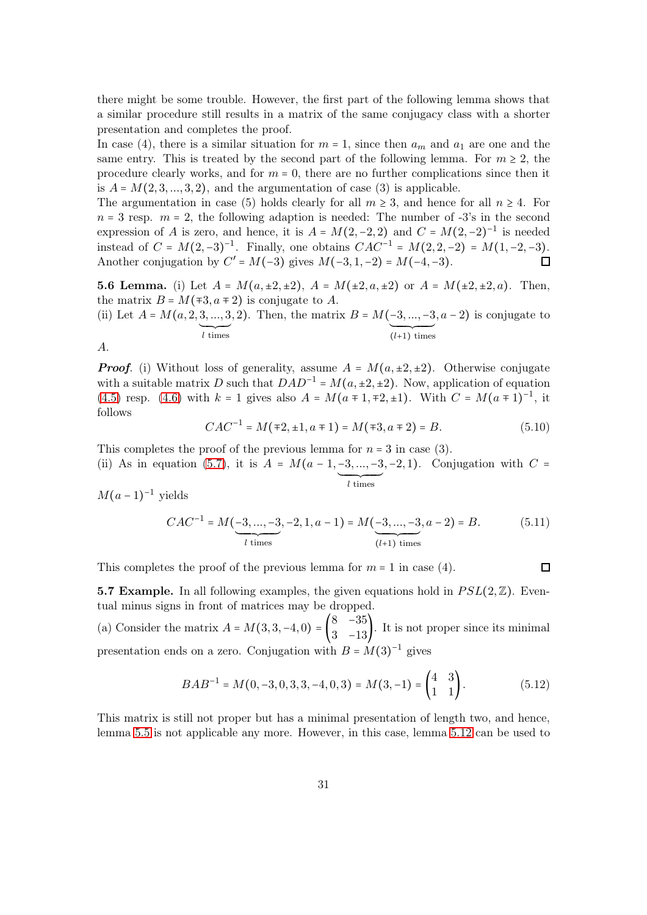there might be some trouble. However, the first part of the following lemma shows that a similar procedure still results in a matrix of the same conjugacy class with a shorter presentation and completes the proof.

In case (4), there is a similar situation for  $m = 1$ , since then  $a_m$  and  $a_1$  are one and the same entry. This is treated by the second part of the following lemma. For  $m \geq 2$ , the procedure clearly works, and for  $m = 0$ , there are no further complications since then it is  $A = M(2, 3, \ldots, 3, 2)$ , and the argumentation of case (3) is applicable.

The argumentation in case (5) holds clearly for all  $m \geq 3$ , and hence for all  $n \geq 4$ . For  $n = 3$  resp.  $m = 2$ , the following adaption is needed: The number of  $-3$ 's in the second expression of A is zero, and hence, it is  $A = M(2, -2, 2)$  and  $C = M(2, -2)^{-1}$  is needed instead of  $C = M(2, -3)^{-1}$ . Finally, one obtains  $CAC^{-1} = M(2, 2, -2) = M(1, -2, -3)$ . Another conjugation by  $C' = M(-3)$  gives  $M(-3, 1, -2) = M(-4, -3)$ .

**5.6 Lemma.** (i) Let  $A = M(a, \pm 2, \pm 2), A = M(\pm 2, a, \pm 2)$  or  $A = M(\pm 2, \pm 2, a)$ . Then, the matrix  $B = M($ ∓3,  $a \mp 2)$  is conjugate to A.

(ii) Let  $A = M(a, 2, 3, ..., 3)$  $\overline{\smash{\big)}\,l\,$  times , 2). Then, the matrix  $B = M(-3, ..., -3)$  $\overline{\overbrace{(l+1)}$  times  $(a-2)$  is conjugate to

A.

**Proof.** (i) Without loss of generality, assume  $A = M(a, \pm 2, \pm 2)$ . Otherwise conjugate with a suitable matrix D such that  $DAD^{-1} = M(a, \pm 2, \pm 2)$ . Now, application of equation [\(4.5\)](#page-13-3) resp. [\(4.6\)](#page-13-4) with  $k = 1$  gives also  $A = M(a \pm 1, \pm 2, \pm 1)$ . With  $C = M(a \pm 1)^{-1}$ , it follows

$$
CAC^{-1} = M(\mp 2, \pm 1, a \mp 1) = M(\mp 3, a \mp 2) = B.
$$
\n(5.10)

This completes the proof of the previous lemma for  $n = 3$  in case (3).

(ii) As in equation [\(5.7\)](#page-29-0), it is  $A = M(a-1,-3,...,-3)$  $\overline{\overbrace{l \text{ times}}$  $, -2, 1$ ). Conjugation with  $C =$ 

 $M(a-1)^{-1}$  yields

$$
CAC^{-1} = M\left(\underbrace{-3, \dots, -3}_{l \text{ times}}, -2, 1, a-1\right) = M\left(\underbrace{-3, \dots, -3}_{(l+1) \text{ times}}, a-2\right) = B. \tag{5.11}
$$

 $\Box$ 

This completes the proof of the previous lemma for  $m = 1$  in case (4).

**5.7 Example.** In all following examples, the given equations hold in  $PSL(2,\mathbb{Z})$ . Eventual minus signs in front of matrices may be dropped.

(a) Consider the matrix  $A = M(3, 3, -4, 0) = \begin{pmatrix} 8 & -35 \\ 3 & -13 \end{pmatrix}$  $\begin{bmatrix} 3 & -13 \end{bmatrix}$ . It is not proper since its minimal presentation ends on a zero. Conjugation with  $B = M(3)^{-1}$  gives

$$
BAB^{-1} = M(0, -3, 0, 3, 3, -4, 0, 3) = M(3, -1) = \begin{pmatrix} 4 & 3 \\ 1 & 1 \end{pmatrix}.
$$
 (5.12)

This matrix is still not proper but has a minimal presentation of length two, and hence, lemma [5.5](#page-27-3) is not applicable any more. However, in this case, lemma [5.12](#page-36-1) can be used to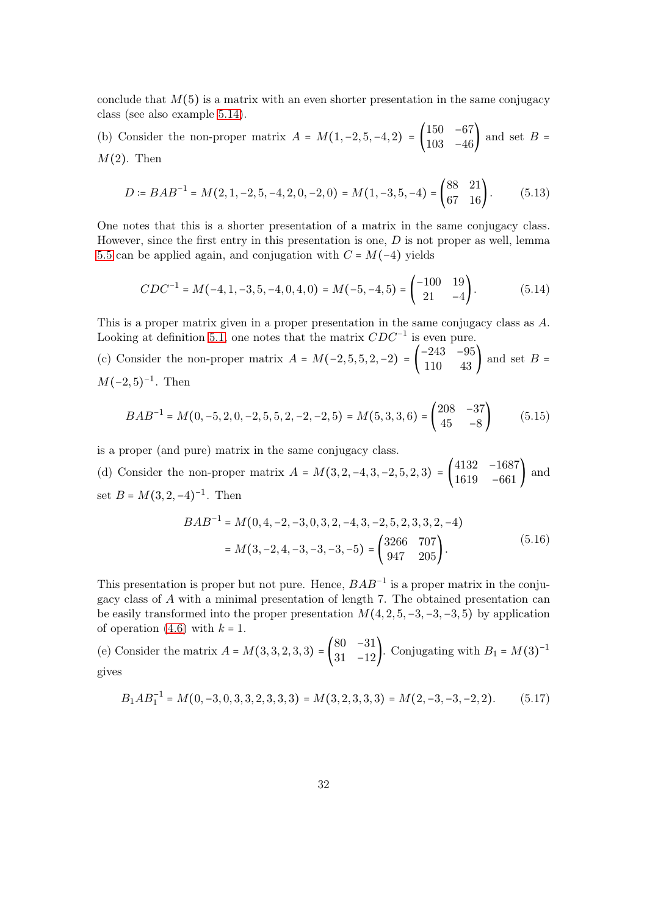conclude that  $M(5)$  is a matrix with an even shorter presentation in the same conjugacy class (see also example [5.14\)](#page-38-1).

(b) Consider the non-proper matrix  $A = M(1, -2, 5, -4, 2) = \begin{pmatrix} 150 & -67 \\ 103 & -46 \end{pmatrix}$  $103 -46$  and set  $B =$  $M(2)$ . Then

$$
D \coloneqq BAB^{-1} = M(2, 1, -2, 5, -4, 2, 0, -2, 0) = M(1, -3, 5, -4) = \begin{pmatrix} 88 & 21 \\ 67 & 16 \end{pmatrix} . \tag{5.13}
$$

One notes that this is a shorter presentation of a matrix in the same conjugacy class. However, since the first entry in this presentation is one,  $D$  is not proper as well, lemma [5.5](#page-27-3) can be applied again, and conjugation with  $C = M(-4)$  yields

$$
CDC^{-1} = M(-4, 1, -3, 5, -4, 0, 4, 0) = M(-5, -4, 5) = \begin{pmatrix} -100 & 19\\ 21 & -4 \end{pmatrix}.
$$
 (5.14)

This is a proper matrix given in a proper presentation in the same conjugacy class as A. Looking at definition [5.1,](#page-26-1) one notes that the matrix  $CDC^{-1}$  is even pure.

(c) Consider the non-proper matrix  $A = M(-2, 5, 5, 2, -2) = \begin{pmatrix} -243 & -95 \\ 110 & 43 \end{pmatrix}$  $110 \t 43$  and set  $B =$  $M(-2, 5)^{-1}$ . Then

$$
BAB^{-1} = M(0, -5, 2, 0, -2, 5, 5, 2, -2, -2, 5) = M(5, 3, 3, 6) = \begin{pmatrix} 208 & -37 \\ 45 & -8 \end{pmatrix}
$$
 (5.15)

is a proper (and pure) matrix in the same conjugacy class.

(d) Consider the non-proper matrix  $A = M(3, 2, -4, 3, -2, 5, 2, 3) = \begin{pmatrix} 4132 & -1687 \\ 1619 & -661 \end{pmatrix}$  $\begin{bmatrix} 1162 & 160 \\ 1619 & -661 \end{bmatrix}$  and set  $B = M(3, 2, -4)^{-1}$ . Then

$$
BAB^{-1} = M(0, 4, -2, -3, 0, 3, 2, -4, 3, -2, 5, 2, 3, 3, 2, -4)
$$
  
=  $M(3, -2, 4, -3, -3, -3, -5) = \begin{pmatrix} 3266 & 707 \\ 947 & 205 \end{pmatrix}$ . (5.16)

This presentation is proper but not pure. Hence,  $BAB^{-1}$  is a proper matrix in the conjugacy class of A with a minimal presentation of length 7. The obtained presentation can be easily transformed into the proper presentation  $M(4, 2, 5, -3, -3, -3, 5)$  by application of operation [\(4.6\)](#page-13-4) with  $k = 1$ .

(e) Consider the matrix  $A = M(3, 3, 2, 3, 3) =$ 80 −31  $\begin{pmatrix} 31 & -31 \\ 31 & -12 \end{pmatrix}$ . Conjugating with  $B_1 = M(3)^{-1}$ gives

$$
B_1AB_1^{-1} = M(0, -3, 0, 3, 3, 2, 3, 3, 3) = M(3, 2, 3, 3, 3) = M(2, -3, -3, -2, 2). \tag{5.17}
$$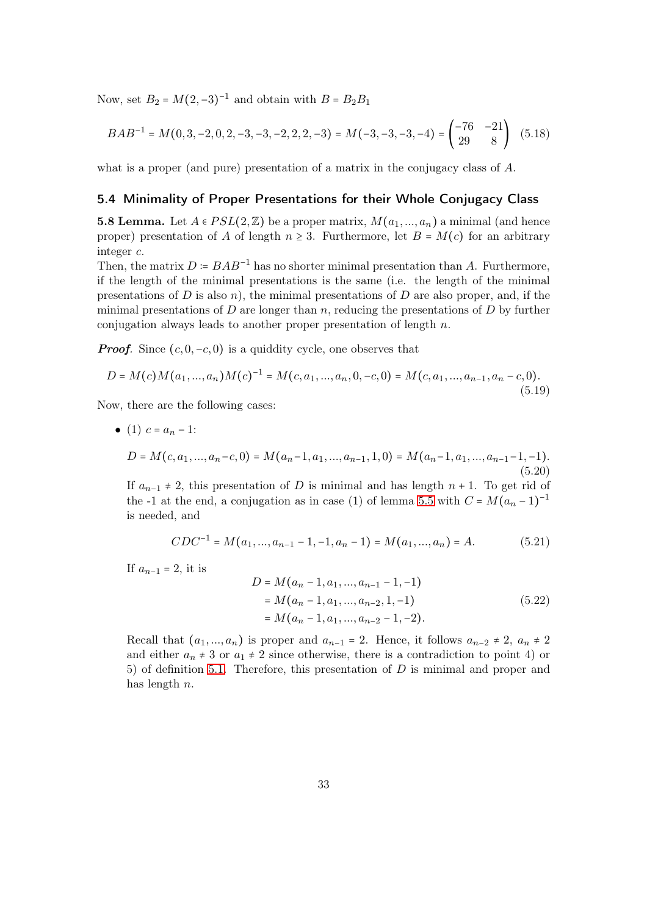Now, set  $B_2 = M(2, -3)^{-1}$  and obtain with  $B = B_2 B_1$ 

<span id="page-32-2"></span>
$$
BAB^{-1} = M(0, 3, -2, 0, 2, -3, -3, -2, 2, 2, -3) = M(-3, -3, -3, -4) = \begin{pmatrix} -76 & -21 \\ 29 & 8 \end{pmatrix} (5.18)
$$

what is a proper (and pure) presentation of a matrix in the conjugacy class of A.

#### <span id="page-32-0"></span>5.4 Minimality of Proper Presentations for their Whole Conjugacy Class

<span id="page-32-1"></span>**5.8 Lemma.** Let  $A \in PSL(2, \mathbb{Z})$  be a proper matrix,  $M(a_1, ..., a_n)$  a minimal (and hence proper) presentation of A of length  $n \geq 3$ . Furthermore, let  $B = M(c)$  for an arbitrary integer c.

Then, the matrix  $D = BAB^{-1}$  has no shorter minimal presentation than A. Furthermore, if the length of the minimal presentations is the same (i.e. the length of the minimal presentations of D is also n), the minimal presentations of D are also proper, and, if the minimal presentations of D are longer than n, reducing the presentations of D by further conjugation always leads to another proper presentation of length  $n$ .

**Proof.** Since  $(c, 0, -c, 0)$  is a quiddity cycle, one observes that

$$
D = M(c)M(a_1,...,a_n)M(c)^{-1} = M(c, a_1,...,a_n, 0, -c, 0) = M(c, a_1,...,a_{n-1}, a_n - c, 0).
$$
\n(5.19)

Now, there are the following cases:

• (1) 
$$
c = a_n - 1
$$
:  
\n
$$
D = M(c, a_1, ..., a_n - c, 0) = M(a_n - 1, a_1, ..., a_{n-1}, 1, 0) = M(a_n - 1, a_1, ..., a_{n-1} - 1, -1).
$$
\n(5.20)

If  $a_{n-1} \neq 2$ , this presentation of D is minimal and has length  $n + 1$ . To get rid of the -1 at the end, a conjugation as in case (1) of lemma [5.5](#page-27-3) with  $C = M(a_n - 1)^{-1}$ is needed, and

$$
CDC^{-1} = M(a_1, ..., a_{n-1} - 1, -1, a_n - 1) = M(a_1, ..., a_n) = A.
$$
 (5.21)

If  $a_{n-1} = 2$ , it is

$$
D = M(a_n - 1, a_1, ..., a_{n-1} - 1, -1)
$$
  
=  $M(a_n - 1, a_1, ..., a_{n-2}, 1, -1)$   
=  $M(a_n - 1, a_1, ..., a_{n-2} - 1, -2)$ . (5.22)

Recall that  $(a_1, ..., a_n)$  is proper and  $a_{n-1} = 2$ . Hence, it follows  $a_{n-2} \neq 2$ ,  $a_n \neq 2$ and either  $a_n \neq 3$  or  $a_1 \neq 2$  since otherwise, there is a contradiction to point 4) or 5) of definition [5.1.](#page-26-1) Therefore, this presentation of  $D$  is minimal and proper and has length n.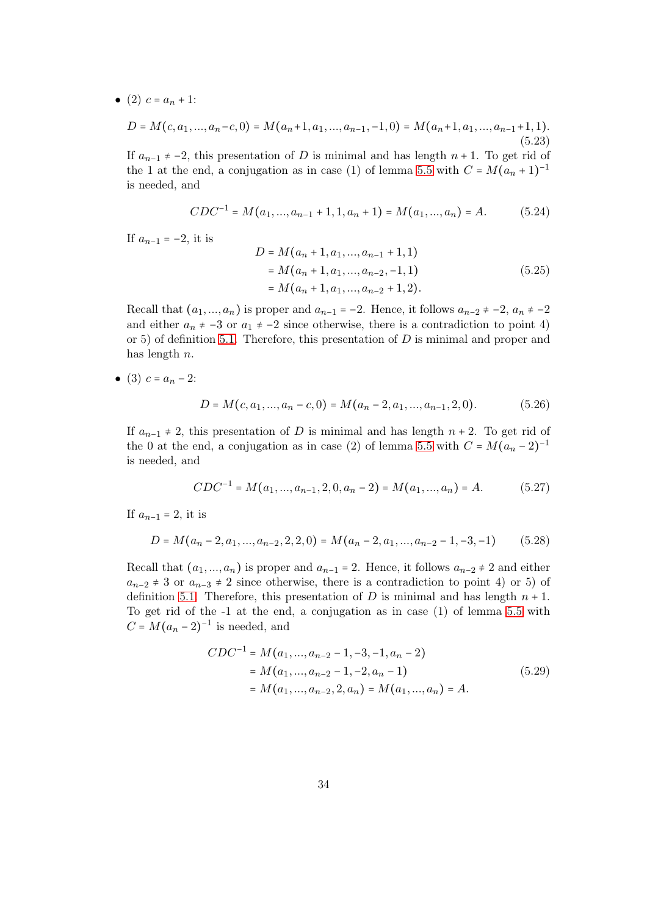• (2)  $c = a_n + 1$ :

$$
D = M(c, a_1, ..., a_n - c, 0) = M(a_n + 1, a_1, ..., a_{n-1}, -1, 0) = M(a_n + 1, a_1, ..., a_{n-1} + 1, 1).
$$
\n(5.23)

If  $a_{n-1} \neq -2$ , this presentation of D is minimal and has length  $n + 1$ . To get rid of the 1 at the end, a conjugation as in case (1) of lemma [5.5](#page-27-3) with  $C = M(a_n + 1)^{-1}$ is needed, and

$$
CDC^{-1} = M(a_1, ..., a_{n-1} + 1, 1, a_n + 1) = M(a_1, ..., a_n) = A.
$$
 (5.24)

If  $a_{n-1} = -2$ , it is

$$
D = M(a_n + 1, a_1, ..., a_{n-1} + 1, 1)
$$
  
=  $M(a_n + 1, a_1, ..., a_{n-2}, -1, 1)$   
=  $M(a_n + 1, a_1, ..., a_{n-2} + 1, 2)$ . (5.25)

Recall that  $(a_1, ..., a_n)$  is proper and  $a_{n-1} = -2$ . Hence, it follows  $a_{n-2} \neq -2$ ,  $a_n \neq -2$ and either  $a_n \neq -3$  or  $a_1 \neq -2$  since otherwise, there is a contradiction to point 4) or 5) of definition [5.1.](#page-26-1) Therefore, this presentation of  $D$  is minimal and proper and has length  $n$ .

• (3)  $c = a_n - 2$ :

$$
D = M(c, a_1, ..., a_n - c, 0) = M(a_n - 2, a_1, ..., a_{n-1}, 2, 0).
$$
 (5.26)

If  $a_{n-1} \neq 2$ , this presentation of D is minimal and has length  $n + 2$ . To get rid of the 0 at the end, a conjugation as in case (2) of lemma [5.5](#page-27-3) with  $C = M(a_n - 2)^{-1}$ is needed, and

$$
CDC^{-1} = M(a_1, ..., a_{n-1}, 2, 0, a_n - 2) = M(a_1, ..., a_n) = A.
$$
 (5.27)

If  $a_{n-1} = 2$ , it is

$$
D = M(a_n - 2, a_1, ..., a_{n-2}, 2, 2, 0) = M(a_n - 2, a_1, ..., a_{n-2} - 1, -3, -1)
$$
 (5.28)

Recall that  $(a_1, ..., a_n)$  is proper and  $a_{n-1} = 2$ . Hence, it follows  $a_{n-2} \neq 2$  and either  $a_{n-2} \neq 3$  or  $a_{n-3} \neq 2$  since otherwise, there is a contradiction to point 4) or 5) of definition [5.1.](#page-26-1) Therefore, this presentation of D is minimal and has length  $n + 1$ . To get rid of the -1 at the end, a conjugation as in case (1) of lemma [5.5](#page-27-3) with  $C = M(a_n - 2)^{-1}$  is needed, and

$$
CDC^{-1} = M(a_1, ..., a_{n-2} - 1, -3, -1, a_n - 2)
$$
  
=  $M(a_1, ..., a_{n-2} - 1, -2, a_n - 1)$   
=  $M(a_1, ..., a_{n-2}, 2, a_n) = M(a_1, ..., a_n) = A.$  (5.29)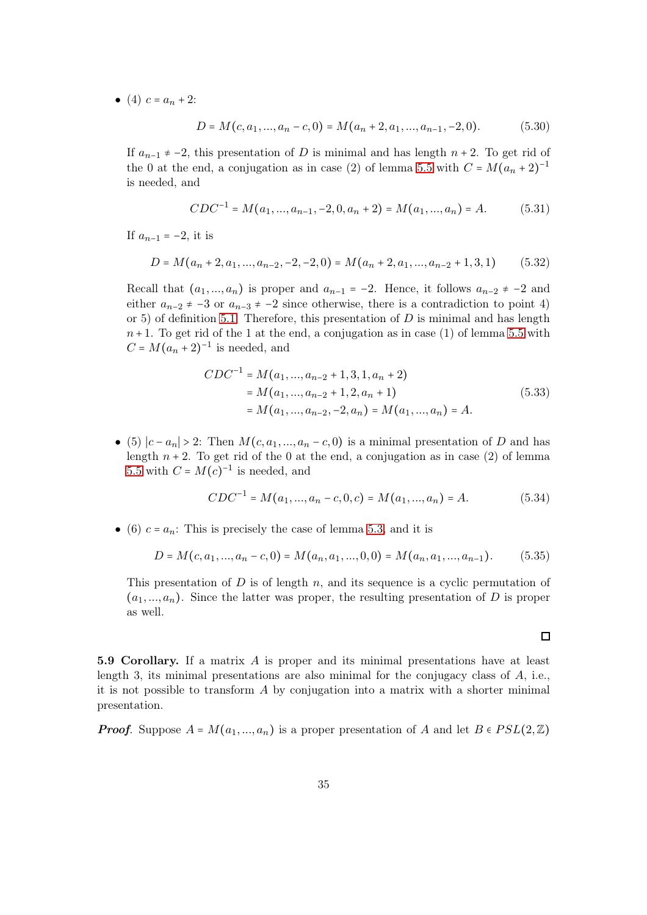• (4)  $c = a_n + 2$ :

$$
D = M(c, a_1, ..., a_n - c, 0) = M(a_n + 2, a_1, ..., a_{n-1}, -2, 0).
$$
 (5.30)

If  $a_{n-1} \neq -2$ , this presentation of D is minimal and has length  $n + 2$ . To get rid of the 0 at the end, a conjugation as in case (2) of lemma [5.5](#page-27-3) with  $C = M(a_n + 2)^{-1}$ is needed, and

$$
CDC^{-1} = M(a_1, ..., a_{n-1}, -2, 0, a_n + 2) = M(a_1, ..., a_n) = A.
$$
 (5.31)

If  $a_{n-1} = -2$ , it is

$$
D = M(a_n + 2, a_1, ..., a_{n-2}, -2, -2, 0) = M(a_n + 2, a_1, ..., a_{n-2} + 1, 3, 1)
$$
 (5.32)

Recall that  $(a_1, ..., a_n)$  is proper and  $a_{n-1} = -2$ . Hence, it follows  $a_{n-2} \neq -2$  and either  $a_{n-2} \neq -3$  or  $a_{n-3} \neq -2$  since otherwise, there is a contradiction to point 4) or 5) of definition [5.1.](#page-26-1) Therefore, this presentation of  $D$  is minimal and has length  $n+1$ . To get rid of the 1 at the end, a conjugation as in case (1) of lemma [5.5](#page-27-3) with  $C = M(a_n + 2)^{-1}$  is needed, and

$$
CDC^{-1} = M(a_1, ..., a_{n-2} + 1, 3, 1, a_n + 2)
$$
  
= M(a\_1, ..., a\_{n-2} + 1, 2, a\_n + 1)  
= M(a\_1, ..., a\_{n-2}, -2, a\_n) = M(a\_1, ..., a\_n) = A. (5.33)

• (5)  $|c - a_n| > 2$ : Then  $M(c, a_1, ..., a_n - c, 0)$  is a minimal presentation of D and has length  $n + 2$ . To get rid of the 0 at the end, a conjugation as in case (2) of lemma [5.5](#page-27-3) with  $C = M(c)^{-1}$  is needed, and

$$
CDC^{-1} = M(a_1, ..., a_n - c, 0, c) = M(a_1, ..., a_n) = A.
$$
\n(5.34)

• (6)  $c = a_n$ : This is precisely the case of lemma [5.3,](#page-27-2) and it is

$$
D = M(c, a_1, ..., a_n - c, 0) = M(a_n, a_1, ..., 0, 0) = M(a_n, a_1, ..., a_{n-1}).
$$
 (5.35)

This presentation of  $D$  is of length  $n$ , and its sequence is a cyclic permutation of  $(a_1, ..., a_n)$ . Since the latter was proper, the resulting presentation of D is proper as well.

<span id="page-34-0"></span>5.9 Corollary. If a matrix A is proper and its minimal presentations have at least length 3, its minimal presentations are also minimal for the conjugacy class of  $A$ , i.e., it is not possible to transform  $A$  by conjugation into a matrix with a shorter minimal presentation.

**Proof.** Suppose  $A = M(a_1, ..., a_n)$  is a proper presentation of A and let  $B \in PSL(2, \mathbb{Z})$ 

 $\Box$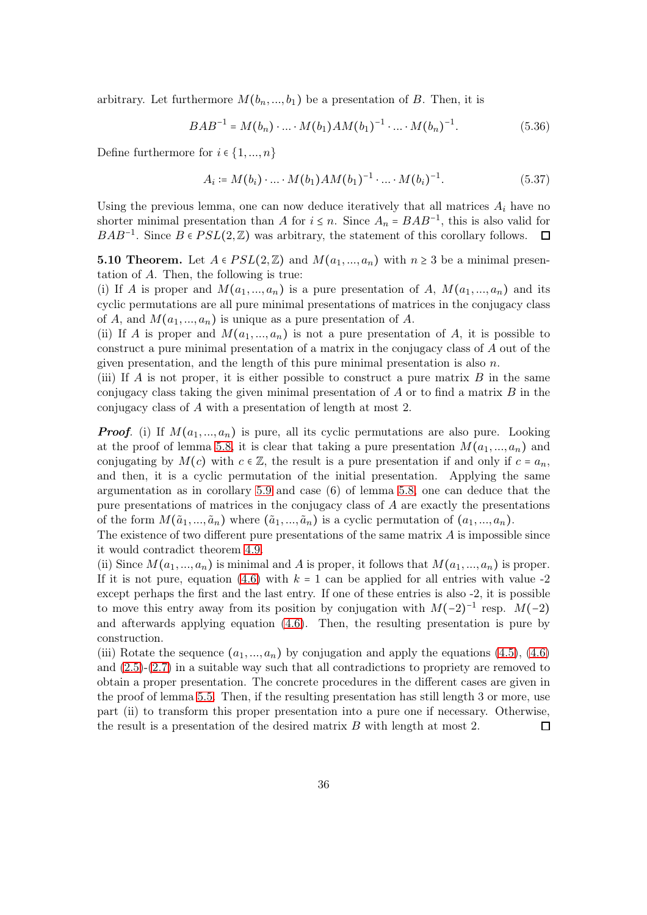arbitrary. Let furthermore  $M(b_n, ..., b_1)$  be a presentation of B. Then, it is

$$
BAB^{-1} = M(b_n) \cdot \ldots \cdot M(b_1)AM(b_1)^{-1} \cdot \ldots \cdot M(b_n)^{-1}.
$$
 (5.36)

Define furthermore for  $i \in \{1, ..., n\}$ 

$$
A_i \coloneqq M(b_i) \cdot \ldots \cdot M(b_1) A M(b_1)^{-1} \cdot \ldots \cdot M(b_i)^{-1}.
$$
 (5.37)

Using the previous lemma, one can now deduce iteratively that all matrices  $A_i$  have no shorter minimal presentation than A for  $i \leq n$ . Since  $A_n = BAB^{-1}$ , this is also valid for  $BAB^{-1}$ . Since  $B \in PSL(2, \mathbb{Z})$  was arbitrary, the statement of this corollary follows.  $\Box$ 

**5.10 Theorem.** Let  $A \in PSL(2, \mathbb{Z})$  and  $M(a_1, ..., a_n)$  with  $n \geq 3$  be a minimal presentation of A. Then, the following is true:

(i) If A is proper and  $M(a_1, ..., a_n)$  is a pure presentation of A,  $M(a_1, ..., a_n)$  and its cyclic permutations are all pure minimal presentations of matrices in the conjugacy class of A, and  $M(a_1, ..., a_n)$  is unique as a pure presentation of A.

(ii) If A is proper and  $M(a_1,..., a_n)$  is not a pure presentation of A, it is possible to construct a pure minimal presentation of a matrix in the conjugacy class of A out of the given presentation, and the length of this pure minimal presentation is also  $n$ .

(iii) If A is not proper, it is either possible to construct a pure matrix  $B$  in the same conjugacy class taking the given minimal presentation of  $A$  or to find a matrix  $B$  in the conjugacy class of A with a presentation of length at most 2.

**Proof.** (i) If  $M(a_1,..., a_n)$  is pure, all its cyclic permutations are also pure. Looking at the proof of lemma [5.8,](#page-32-1) it is clear that taking a pure presentation  $M(a_1, ..., a_n)$  and conjugating by  $M(c)$  with  $c \in \mathbb{Z}$ , the result is a pure presentation if and only if  $c = a_n$ , and then, it is a cyclic permutation of the initial presentation. Applying the same argumentation as in corollary [5.9](#page-34-0) and case (6) of lemma [5.8,](#page-32-1) one can deduce that the pure presentations of matrices in the conjugacy class of A are exactly the presentations of the form  $M(\tilde{a}_1, ..., \tilde{a}_n)$  where  $(\tilde{a}_1, ..., \tilde{a}_n)$  is a cyclic permutation of  $(a_1, ..., a_n)$ .

The existence of two different pure presentations of the same matrix  $A$  is impossible since it would contradict theorem [4.9.](#page-18-0)

(ii) Since  $M(a_1,..., a_n)$  is minimal and A is proper, it follows that  $M(a_1,..., a_n)$  is proper. If it is not pure, equation [\(4.6\)](#page-13-4) with  $k = 1$  can be applied for all entries with value -2 except perhaps the first and the last entry. If one of these entries is also -2, it is possible to move this entry away from its position by conjugation with  $M(-2)^{-1}$  resp.  $M(-2)$ and afterwards applying equation [\(4.6\)](#page-13-4). Then, the resulting presentation is pure by construction.

(iii) Rotate the sequence  $(a_1, ..., a_n)$  by conjugation and apply the equations [\(4.5\)](#page-13-3), [\(4.6\)](#page-13-4) and [\(2.5\)](#page-3-3)-[\(2.7\)](#page-3-1) in a suitable way such that all contradictions to propriety are removed to obtain a proper presentation. The concrete procedures in the different cases are given in the proof of lemma [5.5.](#page-27-3) Then, if the resulting presentation has still length 3 or more, use part (ii) to transform this proper presentation into a pure one if necessary. Otherwise, the result is a presentation of the desired matrix B with length at most 2.  $\Box$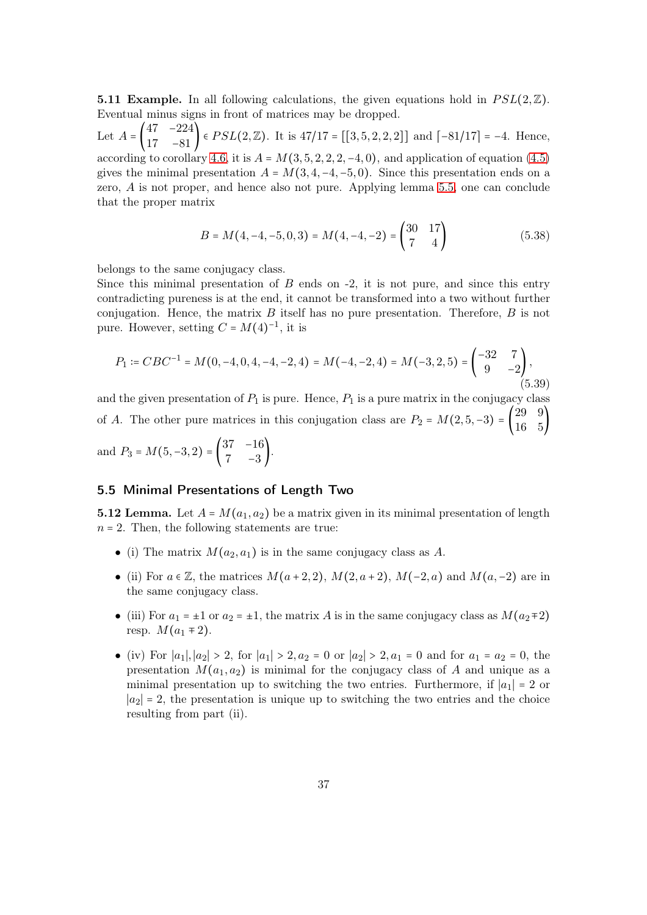**5.11 Example.** In all following calculations, the given equations hold in  $PSL(2,\mathbb{Z})$ . Eventual minus signs in front of matrices may be dropped.

Let  $A = \begin{bmatrix} \end{bmatrix}$  $\begin{bmatrix} 47 & -224 \\ 17 & -81 \end{bmatrix}$  ∈  $PSL(2, \mathbb{Z})$ . It is  $47/17 = [[3, 5, 2, 2, 2]]$  and  $[-81/17] = -4$ . Hence, according to corollary [4.6,](#page-15-0) it is  $A = M(3, 5, 2, 2, 2, -4, 0)$ , and application of equation [\(4.5\)](#page-13-3) gives the minimal presentation  $A = M(3, 4, -4, -5, 0)$ . Since this presentation ends on a zero, A is not proper, and hence also not pure. Applying lemma [5.5,](#page-27-3) one can conclude that the proper matrix

$$
B = M(4, -4, -5, 0, 3) = M(4, -4, -2) = \begin{pmatrix} 30 & 17 \\ 7 & 4 \end{pmatrix}
$$
 (5.38)

belongs to the same conjugacy class.

Since this minimal presentation of  $B$  ends on  $-2$ , it is not pure, and since this entry contradicting pureness is at the end, it cannot be transformed into a two without further conjugation. Hence, the matrix  $B$  itself has no pure presentation. Therefore,  $B$  is not pure. However, setting  $C = M(4)^{-1}$ , it is

$$
P_1 \coloneqq CBC^{-1} = M(0, -4, 0, 4, -4, -2, 4) = M(-4, -2, 4) = M(-3, 2, 5) = \begin{pmatrix} -32 & 7\\ 9 & -2 \end{pmatrix},\tag{5.39}
$$

and the given presentation of  $P_1$  is pure. Hence,  $P_1$  is a pure matrix in the conjugacy class of A. The other pure matrices in this conjugation class are  $P_2 = M(2, 5, -3) = \begin{pmatrix} 29 & 9 \\ 16 & 5 \end{pmatrix}$ 16 5) and  $P_3 = M(5, -3, 2) = \begin{pmatrix} 37 & -16 \\ 7 & -3 \end{pmatrix}$  $\begin{pmatrix} 7 & -3 \end{pmatrix}$ .

#### <span id="page-36-0"></span>5.5 Minimal Presentations of Length Two

<span id="page-36-1"></span>**5.12 Lemma.** Let  $A = M(a_1, a_2)$  be a matrix given in its minimal presentation of length  $n = 2$ . Then, the following statements are true:

- (i) The matrix  $M(a_2, a_1)$  is in the same conjugacy class as A.
- (ii) For  $a \in \mathbb{Z}$ , the matrices  $M(a+2,2), M(2,a+2), M(-2,a)$  and  $M(a,-2)$  are in the same conjugacy class.
- (iii) For  $a_1 = \pm 1$  or  $a_2 = \pm 1$ , the matrix A is in the same conjugacy class as  $M(a_2 \mp 2)$ resp.  $M(a_1 \mp 2)$ .
- (iv) For  $|a_1|, |a_2| > 2$ , for  $|a_1| > 2, a_2 = 0$  or  $|a_2| > 2, a_1 = 0$  and for  $a_1 = a_2 = 0$ , the presentation  $M(a_1, a_2)$  is minimal for the conjugacy class of A and unique as a minimal presentation up to switching the two entries. Furthermore, if  $|a_1| = 2$  or  $|a_2| = 2$ , the presentation is unique up to switching the two entries and the choice resulting from part (ii).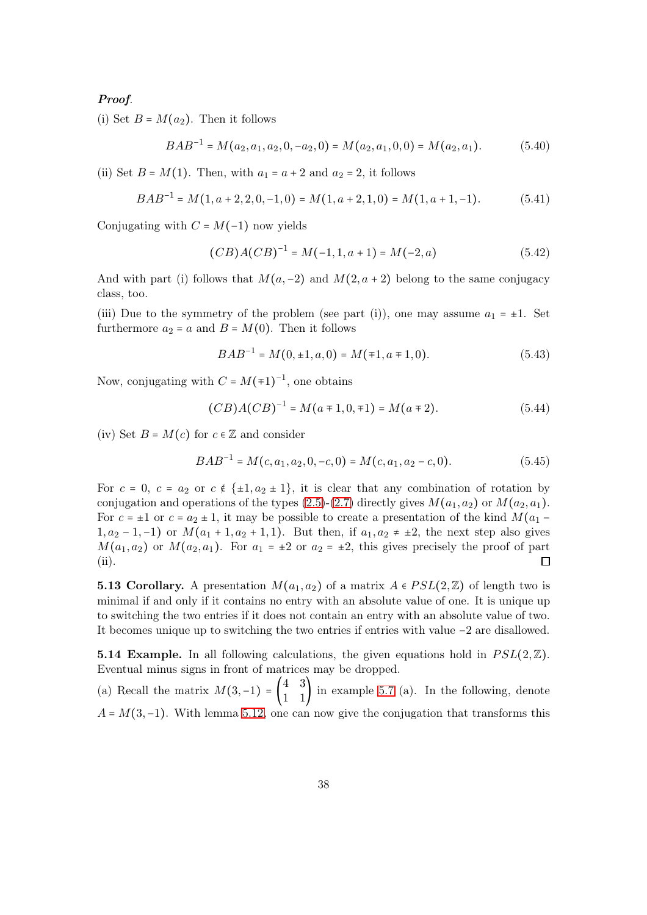#### Proof.

(i) Set  $B = M(a_2)$ . Then it follows

$$
BAB^{-1} = M(a_2, a_1, a_2, 0, -a_2, 0) = M(a_2, a_1, 0, 0) = M(a_2, a_1). \tag{5.40}
$$

(ii) Set  $B = M(1)$ . Then, with  $a_1 = a + 2$  and  $a_2 = 2$ , it follows

$$
BAB^{-1} = M(1, a+2, 2, 0, -1, 0) = M(1, a+2, 1, 0) = M(1, a+1, -1). \tag{5.41}
$$

Conjugating with  $C = M(-1)$  now yields

$$
(CB)A(CB)^{-1} = M(-1, 1, a+1) = M(-2, a)
$$
\n(5.42)

And with part (i) follows that  $M(a,-2)$  and  $M(2,a+2)$  belong to the same conjugacy class, too.

(iii) Due to the symmetry of the problem (see part (i)), one may assume  $a_1 = \pm 1$ . Set furthermore  $a_2 = a$  and  $B = M(0)$ . Then it follows

$$
BAB^{-1} = M(0, \pm 1, a, 0) = M(\mp 1, a \mp 1, 0). \tag{5.43}
$$

Now, conjugating with  $C = M(\pm 1)^{-1}$ , one obtains

$$
(CB)A(CB)^{-1} = M(a \mp 1, 0, \mp 1) = M(a \mp 2). \tag{5.44}
$$

(iv) Set  $B = M(c)$  for  $c \in \mathbb{Z}$  and consider

$$
BAB^{-1} = M(c, a_1, a_2, 0, -c, 0) = M(c, a_1, a_2 - c, 0). \tag{5.45}
$$

For  $c = 0$ ,  $c = a_2$  or  $c \notin \{\pm 1, a_2 \pm 1\}$ , it is clear that any combination of rotation by conjugation and operations of the types  $(2.5)-(2.7)$  $(2.5)-(2.7)$  directly gives  $M(a_1, a_2)$  or  $M(a_2, a_1)$ . For  $c = \pm 1$  or  $c = a_2 \pm 1$ , it may be possible to create a presentation of the kind  $M(a_1 -$ 1,  $a_2 - 1, -1$ ) or  $M(a_1 + 1, a_2 + 1, 1)$ . But then, if  $a_1, a_2 \neq \pm 2$ , the next step also gives  $M(a_1, a_2)$  or  $M(a_2, a_1)$ . For  $a_1 = \pm 2$  or  $a_2 = \pm 2$ , this gives precisely the proof of part (ii).  $\Box$ 

**5.13 Corollary.** A presentation  $M(a_1, a_2)$  of a matrix  $A \in PSL(2, \mathbb{Z})$  of length two is minimal if and only if it contains no entry with an absolute value of one. It is unique up to switching the two entries if it does not contain an entry with an absolute value of two. It becomes unique up to switching the two entries if entries with value −2 are disallowed.

**5.14 Example.** In all following calculations, the given equations hold in  $PSL(2, \mathbb{Z})$ . Eventual minus signs in front of matrices may be dropped.

(a) Recall the matrix  $M(3, -1) = \begin{pmatrix} 4 & 3 \\ 1 & 1 \end{pmatrix}$  in example [5.7](#page-32-2) (a). In the following, denote  $A = M(3, -1)$ . With lemma [5.12,](#page-36-1) one can now give the conjugation that transforms this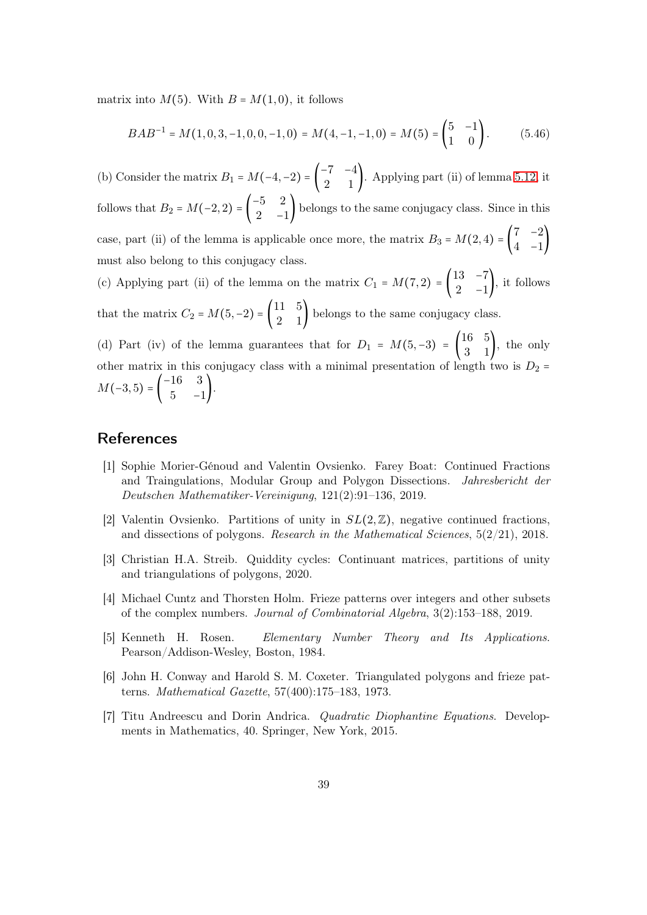matrix into  $M(5)$ . With  $B = M(1,0)$ , it follows

<span id="page-38-1"></span>
$$
BAB^{-1} = M(1,0,3,-1,0,0,-1,0) = M(4,-1,-1,0) = M(5) = \begin{pmatrix} 5 & -1 \\ 1 & 0 \end{pmatrix}.
$$
 (5.46)

(b) Consider the matrix  $B_1 = M(-4, -2) = \begin{pmatrix} -7 & -4 \\ 2 & 1 \end{pmatrix}$  $\begin{pmatrix} 1 \\ 2 \end{pmatrix}$ . Applying part (ii) of lemma [5.12,](#page-36-1) it follows that  $B_2 = M(-2, 2) = \begin{pmatrix} -5 & 2 \\ 2 & -5 \end{pmatrix}$  $\begin{bmatrix} 0 & 2 \\ 2 & -1 \end{bmatrix}$  belongs to the same conjugacy class. Since in this case, part (ii) of the lemma is applicable once more, the matrix  $B_3 = M(2, 4) =$  $7 -2$  $\begin{pmatrix} 4 & -1 \end{pmatrix}$ must also belong to this conjugacy class.

(c) Applying part (ii) of the lemma on the matrix  $C_1 = M(7, 2) = \begin{bmatrix} 1 & 0 \\ 0 & 1 \end{bmatrix}$ 13 −7  $\begin{pmatrix} 2 & -1 \end{pmatrix}$ , it follows that the matrix  $C_2 = M(5, -2) = \begin{pmatrix} 11 & 5 \\ 2 & 1 \end{pmatrix}$  belongs to the same conjugacy class.

(d) Part (iv) of the lemma guarantees that for  $D_1 = M(5, -3) = \begin{pmatrix} 16 & 5 \\ 3 & 1 \end{pmatrix}$ , the only other matrix in this conjugacy class with a minimal presentation of length two is  $D_2$  =  $M(-3, 5) = \begin{pmatrix} -16 & 3 \\ 5 & -1 \end{pmatrix}$  $\begin{pmatrix} 1 & 0 \\ 5 & -1 \end{pmatrix}$ .

#### <span id="page-38-0"></span>References

- [1] Sophie Morier-Génoud and Valentin Ovsienko. Farey Boat: Continued Fractions and Traingulations, Modular Group and Polygon Dissections. Jahresbericht der Deutschen Mathematiker-Vereinigung, 121(2):91–136, 2019.
- <span id="page-38-2"></span>[2] Valentin Ovsienko. Partitions of unity in  $SL(2,\mathbb{Z})$ , negative continued fractions, and dissections of polygons. Research in the Mathematical Sciences,  $5(2/21)$ , 2018.
- <span id="page-38-4"></span><span id="page-38-3"></span>[3] Christian H.A. Streib. Quiddity cycles: Continuant matrices, partitions of unity and triangulations of polygons, 2020.
- [4] Michael Cuntz and Thorsten Holm. Frieze patterns over integers and other subsets of the complex numbers. Journal of Combinatorial Algebra, 3(2):153–188, 2019.
- <span id="page-38-5"></span>[5] Kenneth H. Rosen. Elementary Number Theory and Its Applications. Pearson/Addison-Wesley, Boston, 1984.
- <span id="page-38-6"></span>[6] John H. Conway and Harold S. M. Coxeter. Triangulated polygons and frieze patterns. Mathematical Gazette, 57(400):175–183, 1973.
- <span id="page-38-7"></span>[7] Titu Andreescu and Dorin Andrica. Quadratic Diophantine Equations. Developments in Mathematics, 40. Springer, New York, 2015.